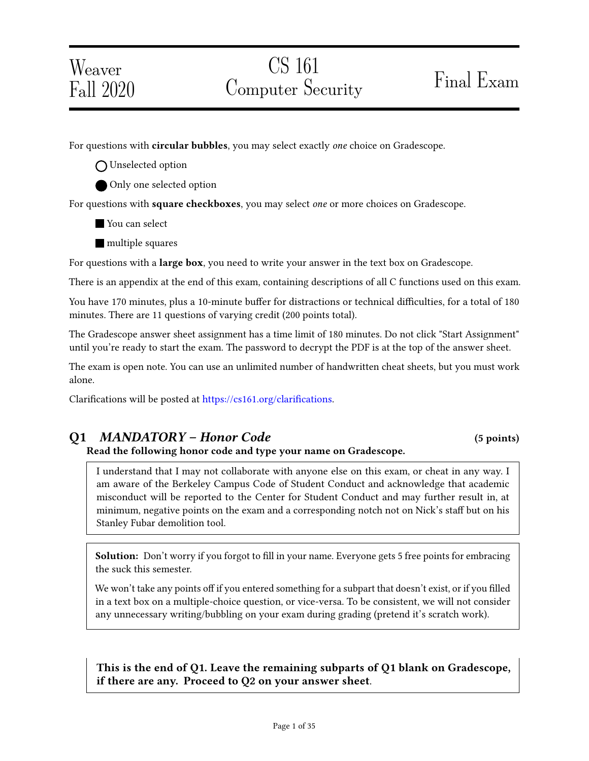# Weaver Fall 2020

For questions with **circular bubbles**, you may select exactly *one* choice on Gradescope.

O Unselected option

Only one selected option

For questions with square checkboxes, you may select one or more choices on Gradescope.

You can select

**multiple squares** 

For questions with a **large box**, you need to write your answer in the text box on Gradescope.

There is an appendix at the end of this exam, containing descriptions of all C functions used on this exam.

You have 170 minutes, plus a 10-minute buffer for distractions or technical difficulties, for a total of 180 minutes. There are 11 questions of varying credit (200 points total).

The Gradescope answer sheet assignment has a time limit of 180 minutes. Do not click "Start Assignment" until you're ready to start the exam. The password to decrypt the PDF is at the top of the answer sheet.

The exam is open note. You can use an unlimited number of handwritten cheat sheets, but you must work alone.

Clarifications will be posted at https://cs161.org/clarifications.

## Q1 MANDATORY – Honor Code (5 points)

Read the following honor code and type your name on Gradescope.

I understand that I may not collaborate with anyone else on this exam, or cheat in any way. I am aware of the Berkeley Campus Code of Student Conduct and acknowledge that academic misconduct will be reported to the Center for Student Conduct and may further result in, at minimum, negative points on the exam and a corresponding notch not on Nick's staff but on his Stanley Fubar demolition tool.

Solution: Don't worry if you forgot to fill in your name. Everyone gets 5 free points for embracing the suck this semester.

We won't take any points off if you entered something for a subpart that doesn't exist, or if you filled in a text box on a multiple-choice question, or vice-versa. To be consistent, we will not consider any unnecessary writing/bubbling on your exam during grading (pretend it's scratch work).

This is the end of Q1. Leave the remaining subparts of Q1 blank on Gradescope, if there are any. Proceed to Q2 on your answer sheet.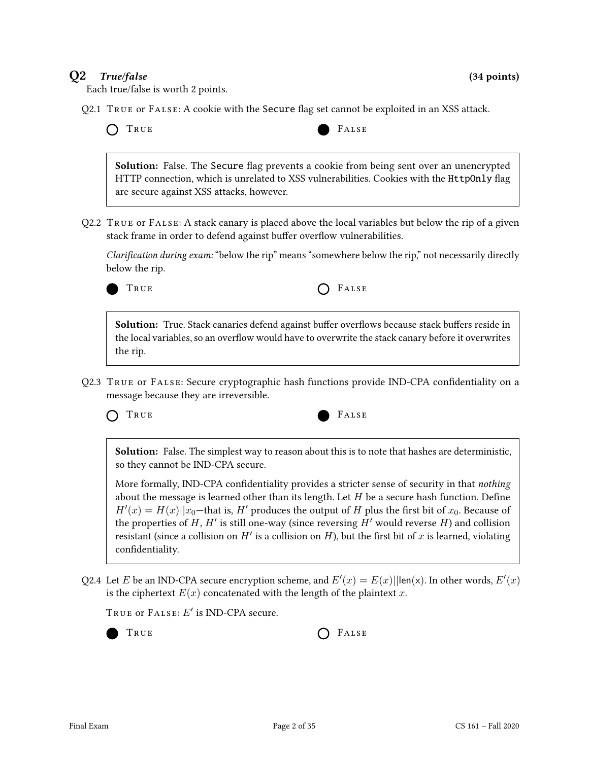## $Q2$  True/false (34 points)

Each true/false is worth 2 points.

Q2.1 TRUE or  $FALSE: A$  cookie with the Secure flag set cannot be exploited in an XSS attack.



Solution: False. The Secure flag prevents a cookie from being sent over an unencrypted HTTP connection, which is unrelated to XSS vulnerabilities. Cookies with the HttpOnly flag are secure against XSS attacks, however.

Q2.2 True or False: A stack canary is placed above the local variables but below the rip of a given stack frame in order to defend against buffer overflow vulnerabilities.

Clarification during exam: "below the rip" means "somewhere below the rip," not necessarily directly below the rip.

| True | $O$ FALSE |
|------|-----------|
|------|-----------|

Solution: True. Stack canaries defend against buffer overflows because stack buffers reside in the local variables, so an overflow would have to overwrite the stack canary before it overwrites the rip.

Q2.3 True or False: Secure cryptographic hash functions provide IND-CPA condentiality on a message because they are irreversible.



**Solution:** False. The simplest way to reason about this is to note that hashes are deterministic, so they cannot be IND-CPA secure.

More formally, IND-CPA confidentiality provides a stricter sense of security in that *nothing* about the message is learned other than its length. Let  $H$  be a secure hash function. Define  $H'(x) = H(x) ||x_0$ -that is, H' produces the output of H plus the first bit of  $x_0$ . Because of the properties of  $H$ ,  $H'$  is still one-way (since reversing  $H'$  would reverse  $H$ ) and collision resistant (since a collision on  $H'$  is a collision on  $H$ ), but the first bit of  $x$  is learned, violating confidentiality.

Q2.4 Let E be an IND-CPA secure encryption scheme, and  $E'(x) = E(x) ||\text{len}(x)$ . In other words,  $E'(x)$ is the ciphertext  $E(x)$  concatenated with the length of the plaintext x.

TRUE OF  $\texttt{False}$ :  $E'$  is IND-CPA secure.

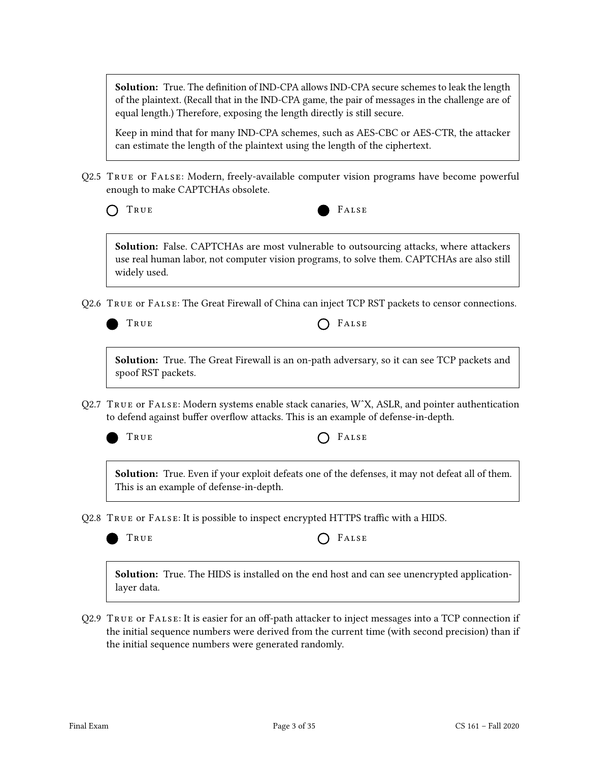Solution: True. The definition of IND-CPA allows IND-CPA secure schemes to leak the length of the plaintext. (Recall that in the IND-CPA game, the pair of messages in the challenge are of equal length.) Therefore, exposing the length directly is still secure.

Keep in mind that for many IND-CPA schemes, such as AES-CBC or AES-CTR, the attacker can estimate the length of the plaintext using the length of the ciphertext.

Q2.5 True or False: Modern, freely-available computer vision programs have become powerful enough to make CAPTCHAs obsolete.



**Solution:** False. CAPTCHAs are most vulnerable to outsourcing attacks, where attackers use real human labor, not computer vision programs, to solve them. CAPTCHAs are also still widely used.

Q2.6 True or False: The Great Firewall of China can inject TCP RST packets to censor connections.



TRUE **CONSTRUE** 

Solution: True. The Great Firewall is an on-path adversary, so it can see TCP packets and spoof RST packets.

- Q2.7 True or False: Modern systems enable stack canaries, WˆX, ASLR, and pointer authentication to defend against buffer overflow attacks. This is an example of defense-in-depth.
	-

 $\bigcap$  False

**Solution:** True. Even if your exploit defeats one of the defenses, it may not defeat all of them. This is an example of defense-in-depth.

Q2.8 TRUE or  $FALSE$ : It is possible to inspect encrypted HTTPS traffic with a HIDS.



TRUE **CONSTRUE** 

**Solution:** True. The HIDS is installed on the end host and can see unencrypted applicationlayer data.

Q2.9 TRUE or FALSE: It is easier for an off-path attacker to inject messages into a TCP connection if the initial sequence numbers were derived from the current time (with second precision) than if the initial sequence numbers were generated randomly.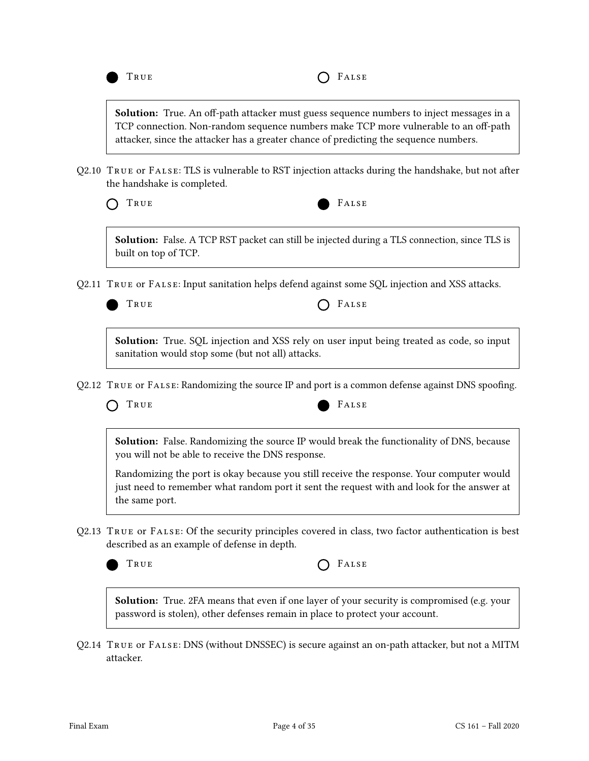

**Solution:** True. An off-path attacker must guess sequence numbers to inject messages in a TCP connection. Non-random sequence numbers make TCP more vulnerable to an off-path attacker, since the attacker has a greater chance of predicting the sequence numbers.

Q2.10 True or False: TLS is vulnerable to RST injection attacks during the handshake, but not after the handshake is completed.

TRUE FALSE

**Solution:** False. A TCP RST packet can still be injected during a TLS connection, since TLS is built on top of TCP.

Q2.11 True or False: Input sanitation helps defend against some SQL injection and XSS attacks.

| v<br>M.<br>$\sim$<br>- - |  |
|--------------------------|--|
|                          |  |

 $\Gamma$  False

Solution: True. SQL injection and XSS rely on user input being treated as code, so input sanitation would stop some (but not all) attacks.

 $Q2.12$  TRUE OF FALSE: Randomizing the source IP and port is a common defense against DNS spoofing.

TRUE FALSE



Solution: False. Randomizing the source IP would break the functionality of DNS, because you will not be able to receive the DNS response.

Randomizing the port is okay because you still receive the response. Your computer would just need to remember what random port it sent the request with and look for the answer at the same port.

Q2.13 True or False: Of the security principles covered in class, two factor authentication is best described as an example of defense in depth.

TRUE **CELLES** 

**Solution:** True. 2FA means that even if one layer of your security is compromised (e.g. your password is stolen), other defenses remain in place to protect your account.

Q2.14 True or False: DNS (without DNSSEC) is secure against an on-path attacker, but not a MITM attacker.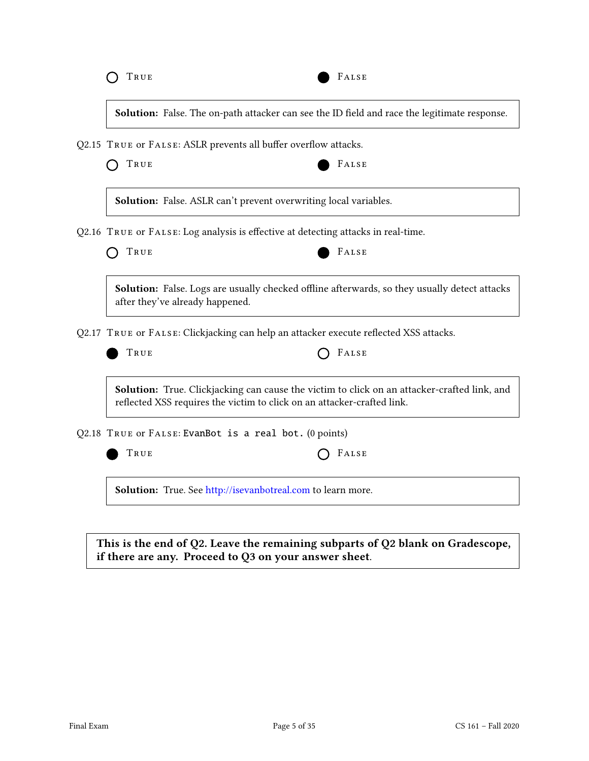|  | ۰.<br>- -<br>۰. |
|--|-----------------|
|--|-----------------|

Solution: False. The on-path attacker can see the ID field and race the legitimate response.

Q2.15 TRUE OF FALSE: ASLR prevents all buffer overflow attacks.

| ں<br>$\sim$<br>M.<br>v<br>a s |
|-------------------------------|
|                               |

FALSE

Solution: False. ASLR can't prevent overwriting local variables.

Q2.16 TRUE or FALSE: Log analysis is effective at detecting attacks in real-time.



Solution: False. Logs are usually checked offline afterwards, so they usually detect attacks after they've already happened.

Q2.17 TRUE OF FALSE: Clickjacking can help an attacker execute reflected XSS attacks.

| TRUE |  |  | $O$ FALSE |  |
|------|--|--|-----------|--|
|      |  |  |           |  |

Solution: True. Clickjacking can cause the victim to click on an attacker-crafted link, and reflected XSS requires the victim to click on an attacker-crafted link.

Q2.18 True or False: EvanBot is a real bot. (0 points)

| مە<br>M.<br>- -<br>$\sim$<br>v |  |
|--------------------------------|--|
|                                |  |

 $\bigcap$  FALSE

Solution: True. See <http://isevanbotreal.com> to learn more.

This is the end of Q2. Leave the remaining subparts of Q2 blank on Gradescope, if there are any. Proceed to Q3 on your answer sheet.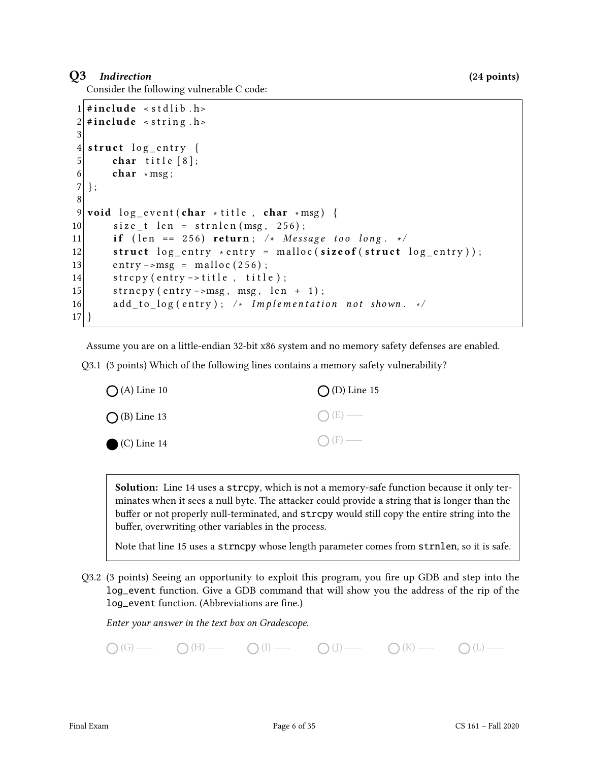## Q3 Indirection (24 points)

Consider the following vulnerable C code:

```
1 \#include < stdlib . h>
2 \#include < string.h>
3
4 \times struct log_entry {
5 char title [8];
6 char * msg;
7 };
8
9 void log_event (char * title, char * msg) {
10 size_t len = strnlen (msg, 256);
11 if ( len == 256) return; /* Message too long. */
12 struct log_{\text{entry}} * entry = malloc(sizeof(struct log_{\text{entry}}));13 entry –>msg = malloc(256);
14 strcpy (entry -> title, title);
15 strncpy (entry ->msg, msg, len + 1);
16 add_to_log(entry); /* Implementation not shown. */
17 }
```
Assume you are on a little-endian 32-bit x86 system and no memory safety defenses are enabled.

Q3.1 (3 points) Which of the following lines contains a memory safety vulnerability?

| $\bigcirc$ (A) Line 10 | $\bigcirc$ (D) Line 15 |
|------------------------|------------------------|
| $\bigcirc$ (B) Line 13 | $O(E)$ —               |
| $\bullet$ (C) Line 14  | $\bigcap$ (F) —        |

Solution: Line 14 uses a strcpy, which is not a memory-safe function because it only terminates when it sees a null byte. The attacker could provide a string that is longer than the buffer or not properly null-terminated, and stropy would still copy the entire string into the buffer, overwriting other variables in the process.

Note that line 15 uses a strncpy whose length parameter comes from strnlen, so it is safe.

Q3.2 (3 points) Seeing an opportunity to exploit this program, you fire up GDB and step into the log\_event function. Give a GDB command that will show you the address of the rip of the log\_event function. (Abbreviations are fine.)

Enter your answer in the text box on Gradescope.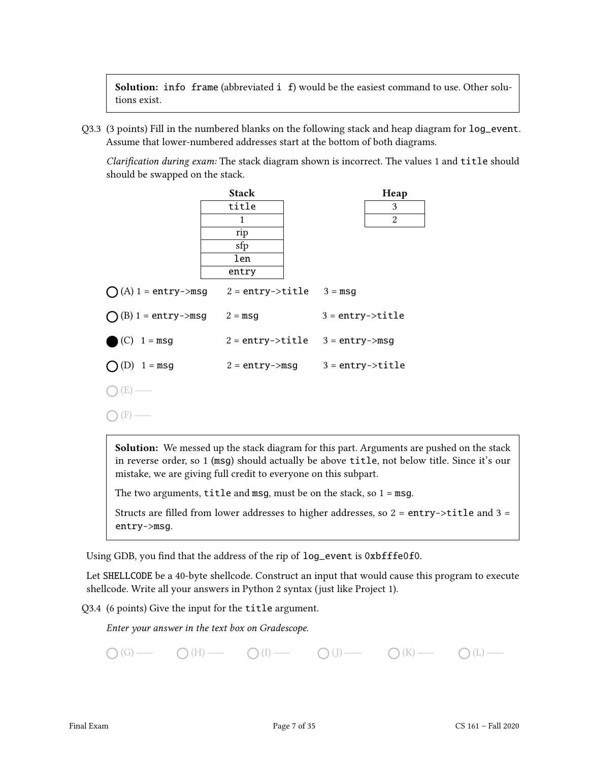Solution: info frame (abbreviated i f) would be the easiest command to use. Other solutions exist.

Q3.3 (3 points) Fill in the numbered blanks on the following stack and heap diagram for log\_event. Assume that lower-numbered addresses start at the bottom of both diagrams.

Clarification during exam: The stack diagram shown is incorrect. The values 1 and title should should be swapped on the stack.

|                                        | <b>Stack</b>                | Heap                                  |
|----------------------------------------|-----------------------------|---------------------------------------|
|                                        | title                       | 3                                     |
|                                        | 1                           | 2                                     |
|                                        | rip                         |                                       |
|                                        | sfp                         |                                       |
|                                        | len                         |                                       |
|                                        | entry                       |                                       |
| $O(A)$ 1 = entry->msg 2 = entry->title |                             | $3 = msg$                             |
| $O(B)$ 1 = entry->msg 2 = msg          |                             | $3 = entry$ ->title                   |
| $(C)$ 1 = msg                          |                             | $2 = entry$ ->title $3 = entry$ ->msg |
| $O(D)$ 1 = msg                         | $2 = entry \rightarrow msg$ | $3 = entry$ ->title                   |
|                                        |                             |                                       |
|                                        |                             |                                       |

**Solution:** We messed up the stack diagram for this part. Arguments are pushed on the stack in reverse order, so 1 (msg) should actually be above title, not below title. Since it's our mistake, we are giving full credit to everyone on this subpart.

The two arguments,  $title$  and msg, must be on the stack, so  $1 = msg$ .

Structs are filled from lower addresses to higher addresses, so  $2 =$  entry->title and  $3 =$ entry->msg.

Using GDB, you find that the address of the rip of log\_event is 0xbfffe0f0.

Let SHELLCODE be a 40-byte shellcode. Construct an input that would cause this program to execute shellcode. Write all your answers in Python 2 syntax (just like Project 1).

Q3.4 (6 points) Give the input for the title argument.

Enter your answer in the text box on Gradescope.

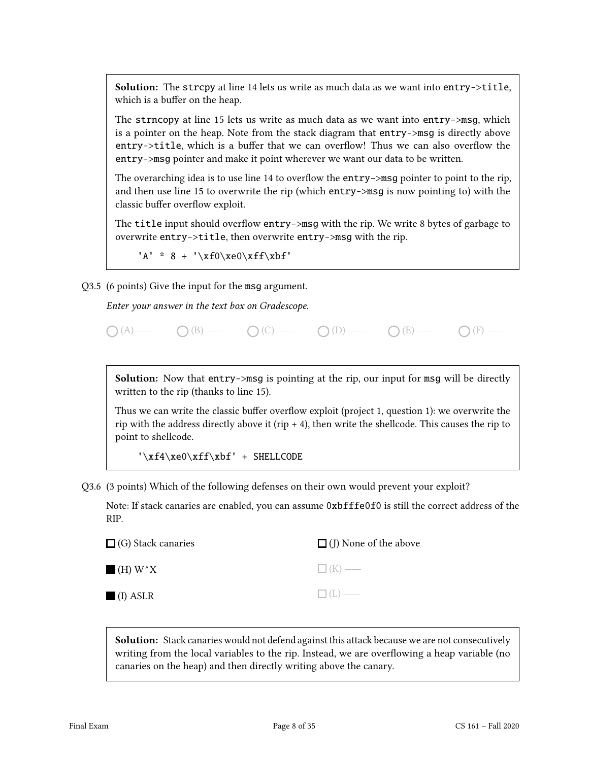Solution: The strcpy at line 14 lets us write as much data as we want into entry->title, which is a buffer on the heap.

The strncopy at line 15 lets us write as much data as we want into entry->msg, which is a pointer on the heap. Note from the stack diagram that entry->msg is directly above entry->title, which is a buffer that we can overflow! Thus we can also overflow the entry->msg pointer and make it point wherever we want our data to be written.

The overarching idea is to use line 14 to overflow the  $entry$ - $msg$  pointer to point to the rip, and then use line 15 to overwrite the rip (which entry->msg is now pointing to) with the classic buffer overflow exploit.

The title input should overflow entry->msg with the rip. We write 8 bytes of garbage to overwrite entry->title, then overwrite entry->msg with the rip.

'A' \*  $8 + 'xf0\xe0\xff\xbf'$ 

Q3.5 (6 points) Give the input for the msg argument.

Enter your answer in the text box on Gradescope.

 $O(A)$   $O(B)$   $O(C)$   $O(D)$   $O(E)$   $O(E)$   $O(F)$   $O(F)$ 

Solution: Now that entry->msg is pointing at the rip, our input for msg will be directly written to the rip (thanks to line 15).

Thus we can write the classic buffer overflow exploit (project 1, question 1): we overwrite the rip with the address directly above it (rip  $+ 4$ ), then write the shellcode. This causes the rip to point to shellcode.

'\xf4\xe0\xff\xbf' + SHELLCODE

Q3.6 (3 points) Which of the following defenses on their own would prevent your exploit?

Note: If stack canaries are enabled, you can assume 0xbfffe0f0 is still the correct address of the RIP.

| $\Box$ (G) Stack canaries                 | $\Box$ (J) None of the above |
|-------------------------------------------|------------------------------|
| $H(H)$ W <sup><math>\wedge</math></sup> X | $\Box$ (K) —                 |
| (I) ASLR                                  | $\Box$ (L) —                 |

Solution: Stack canaries would not defend against this attack because we are not consecutively writing from the local variables to the rip. Instead, we are overflowing a heap variable (no canaries on the heap) and then directly writing above the canary.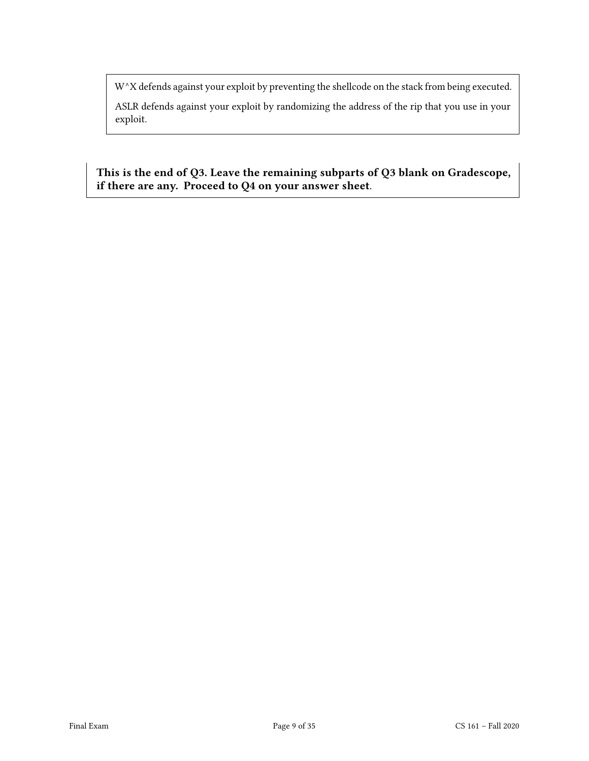W^X defends against your exploit by preventing the shellcode on the stack from being executed.

ASLR defends against your exploit by randomizing the address of the rip that you use in your exploit.

This is the end of Q3. Leave the remaining subparts of Q3 blank on Gradescope, if there are any. Proceed to Q4 on your answer sheet.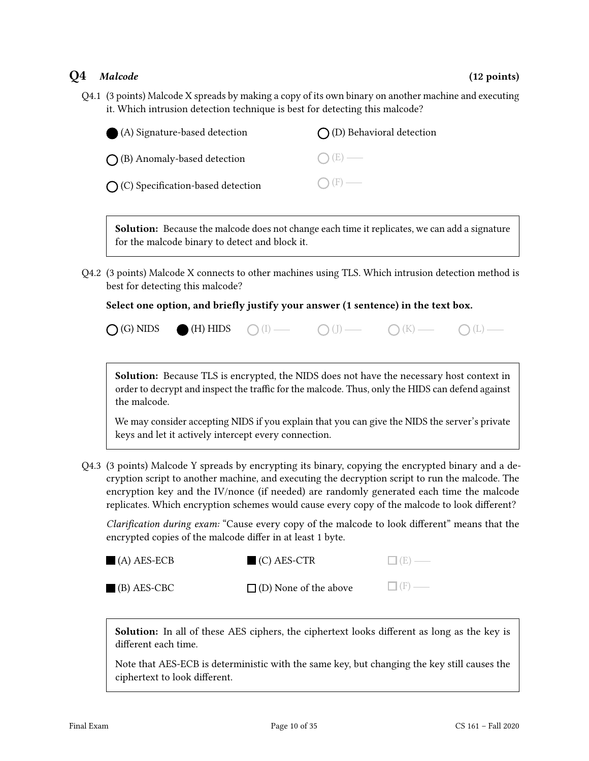## Q4 Malcode (12 points)

Q4.1 (3 points) Malcode X spreads by making a copy of its own binary on another machine and executing it. Which intrusion detection technique is best for detecting this malcode?

| (A) Signature-based detection               | $\bigcap$ (D) Behavioral detection |
|---------------------------------------------|------------------------------------|
| $\bigcap$ (B) Anomaly-based detection       | $\bigcap (E)$ —                    |
| $\bigcap$ (C) Specification-based detection | $\bigcap$ (F) —                    |

Solution: Because the malcode does not change each time it replicates, we can add a signature for the malcode binary to detect and block it.

Q4.2 (3 points) Malcode X connects to other machines using TLS. Which intrusion detection method is best for detecting this malcode?

Select one option, and briefly justify your answer (1 sentence) in the text box.

 $\bigcap$  (G) NIDS  $\bigcap$  (H) HIDS  $\bigcap$  (I)  $\longrightarrow$   $\bigcap$  (I)  $\longrightarrow$   $\bigcap$  (K)  $\longrightarrow$   $\bigcap$  (L)  $\longrightarrow$ 

Solution: Because TLS is encrypted, the NIDS does not have the necessary host context in order to decrypt and inspect the traffic for the malcode. Thus, only the HIDS can defend against the malcode.

We may consider accepting NIDS if you explain that you can give the NIDS the server's private keys and let it actively intercept every connection.

Q4.3 (3 points) Malcode Y spreads by encrypting its binary, copying the encrypted binary and a decryption script to another machine, and executing the decryption script to run the malcode. The encryption key and the IV/nonce (if needed) are randomly generated each time the malcode replicates. Which encryption schemes would cause every copy of the malcode to look different?

Clarification during exam: "Cause every copy of the malcode to look different" means that the encrypted copies of the malcode differ in at least 1 byte.

| $(A)$ AES-ECB | $\blacksquare$ (C) AES-CTR   | $\Box$ (E) — |
|---------------|------------------------------|--------------|
| $(B)$ AES-CBC | $\Box$ (D) None of the above | $\Box$ (F) — |

Solution: In all of these AES ciphers, the ciphertext looks different as long as the key is different each time.

Note that AES-ECB is deterministic with the same key, but changing the key still causes the ciphertext to look different.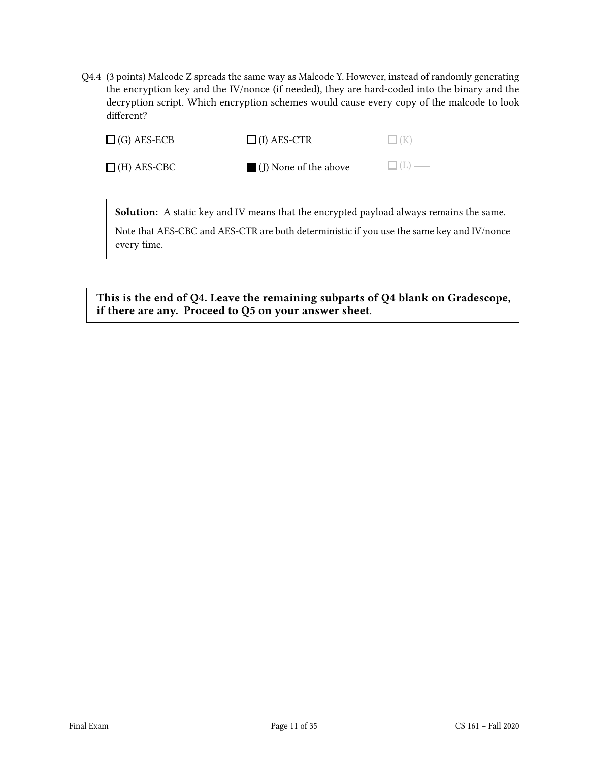Q4.4 (3 points) Malcode Z spreads the same way as Malcode Y. However, instead of randomly generating the encryption key and the IV/nonce (if needed), they are hard-coded into the binary and the decryption script. Which encryption schemes would cause every copy of the malcode to look different?

 $\Box$  (G) AES-ECB  $\Box$  (H) AES-CBC  $\Box$  (I) AES-CTR (J) None of the above  $\Box$ (K) —  $\Box$ (L) —

Solution: A static key and IV means that the encrypted payload always remains the same.

Note that AES-CBC and AES-CTR are both deterministic if you use the same key and IV/nonce every time.

This is the end of Q4. Leave the remaining subparts of Q4 blank on Gradescope, if there are any. Proceed to Q5 on your answer sheet.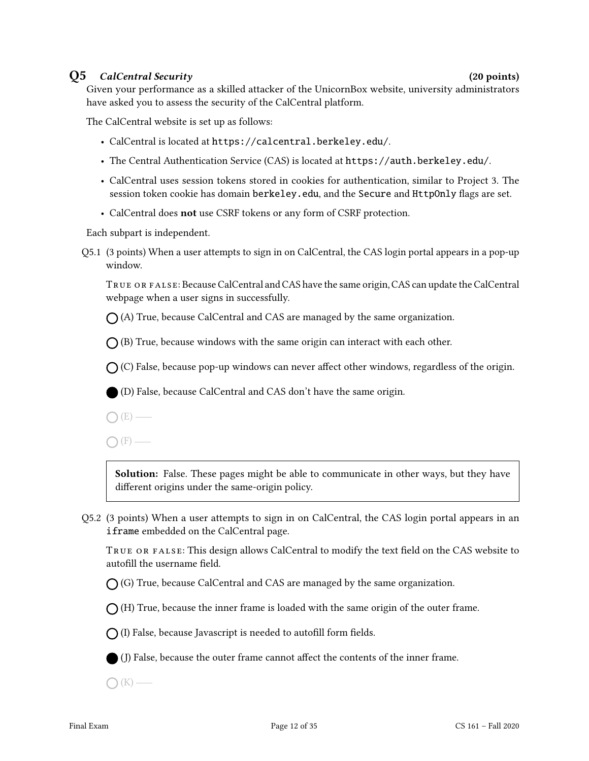## Q5 CalCentral Security (20 points)

Given your performance as a skilled attacker of the UnicornBox website, university administrators have asked you to assess the security of the CalCentral platform.

The CalCentral website is set up as follows:

- CalCentral is located at https://calcentral.berkeley.edu/.
- The Central Authentication Service (CAS) is located at https://auth.berkeley.edu/.
- CalCentral uses session tokens stored in cookies for authentication, similar to Project 3. The session token cookie has domain berkeley.edu, and the Secure and HttpOnly flags are set.
- CalCentral does not use CSRF tokens or any form of CSRF protection.

Each subpart is independent.

Q5.1 (3 points) When a user attempts to sign in on CalCentral, the CAS login portal appears in a pop-up window.

TRUE OR FALSE: Because CalCentral and CAS have the same origin, CAS can update the CalCentral webpage when a user signs in successfully.

 $\bigcap$  (A) True, because CalCentral and CAS are managed by the same organization.

 $\bigcap$  (B) True, because windows with the same origin can interact with each other.

 $\bigcap$  (C) False, because pop-up windows can never affect other windows, regardless of the origin.

(D) False, because CalCentral and CAS don't have the same origin.

- $\bigcap(E)$  —
- $\bigcap$  (F) —

Solution: False. These pages might be able to communicate in other ways, but they have different origins under the same-origin policy.

Q5.2 (3 points) When a user attempts to sign in on CalCentral, the CAS login portal appears in an iframe embedded on the CalCentral page.

TRUE OR FALSE: This design allows CalCentral to modify the text field on the CAS website to autofill the username field.

 $\bigcap$  (G) True, because CalCentral and CAS are managed by the same organization.

 $\bigcap$  (H) True, because the inner frame is loaded with the same origin of the outer frame.

 $\bigcap$  (I) False, because Javascript is needed to autofill form fields.

 $(1)$  False, because the outer frame cannot affect the contents of the inner frame.

 $\bigcap$  (K) —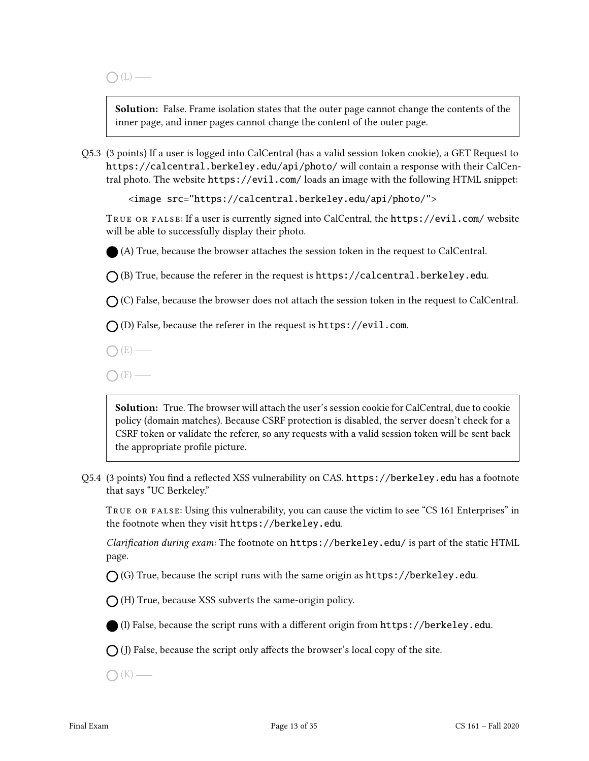$\bigcap(L)$  —

Solution: False. Frame isolation states that the outer page cannot change the contents of the inner page, and inner pages cannot change the content of the outer page.

Q5.3 (3 points) If a user is logged into CalCentral (has a valid session token cookie), a GET Request to https://calcentral.berkeley.edu/api/photo/ will contain a response with their CalCentral photo. The website https://evil.com/ loads an image with the following HTML snippet:

<image src="https://calcentral.berkeley.edu/api/photo/">

True or false: If a user is currently signed into CalCentral, the https://evil.com/ website will be able to successfully display their photo.

(A) True, because the browser attaches the session token in the request to CalCentral.

 $\bigcap$  (B) True, because the referer in the request is https://calcentral.berkeley.edu.

 $\bigcap$  (C) False, because the browser does not attach the session token in the request to CalCentral.

 $\bigcap$  (D) False, because the referer in the request is https://evil.com.

 $\bigcap(E)$  —

 $\bigcap$  (F) —

Solution: True. The browser will attach the user's session cookie for CalCentral, due to cookie policy (domain matches). Because CSRF protection is disabled, the server doesn't check for a CSRF token or validate the referer, so any requests with a valid session token will be sent back the appropriate profile picture.

Q5.4 (3 points) You find a reflected XSS vulnerability on CAS. https://berkeley.edu has a footnote that says "UC Berkeley."

TRUE OR FALSE: Using this vulnerability, you can cause the victim to see "CS 161 Enterprises" in the footnote when they visit https://berkeley.edu.

Clarification during exam: The footnote on https://berkeley.edu/ is part of the static HTML page.

 $\bigcap$  (G) True, because the script runs with the same origin as https://berkeley.edu.

 $\bigcap$  (H) True, because XSS subverts the same-origin policy.

(I) False, because the script runs with a different origin from  $https://berkeley.edu.$ 

 $\bigcap$  (J) False, because the script only affects the browser's local copy of the site.

 $\bigcap$  (K) —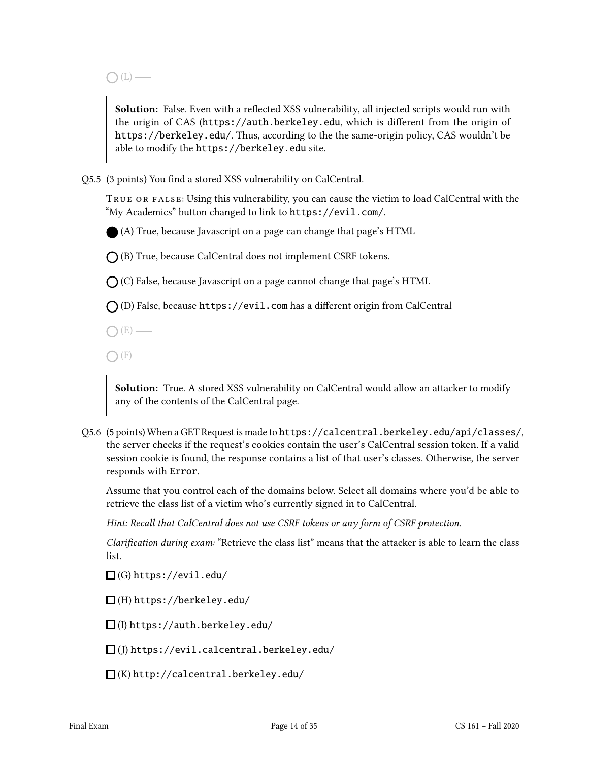Solution: False. Even with a reflected XSS vulnerability, all injected scripts would run with the origin of CAS (https://auth.berkeley.edu, which is different from the origin of https://berkeley.edu/. Thus, according to the the same-origin policy, CAS wouldn't be able to modify the https://berkeley.edu site.

Q5.5 (3 points) You find a stored XSS vulnerability on CalCentral.

TRUE OR FALSE: Using this vulnerability, you can cause the victim to load CalCentral with the "My Academics" button changed to link to https://evil.com/.

(A) True, because Javascript on a page can change that page's HTML

 $\bigcap$  (B) True, because CalCentral does not implement CSRF tokens.

 $\bigcap$  (C) False, because Javascript on a page cannot change that page's HTML

 $\bigcap$  (D) False, because https://evil.com has a different origin from CalCentral

 $\bigcap(E)$  —

 $\bigcap$  (F) —

Solution: True. A stored XSS vulnerability on CalCentral would allow an attacker to modify any of the contents of the CalCentral page.

Q5.6 (5 points) When a GET Request is made to https://calcentral.berkeley.edu/api/classes/, the server checks if the request's cookies contain the user's CalCentral session token. If a valid session cookie is found, the response contains a list of that user's classes. Otherwise, the server responds with Error.

Assume that you control each of the domains below. Select all domains where you'd be able to retrieve the class list of a victim who's currently signed in to CalCentral.

Hint: Recall that CalCentral does not use CSRF tokens or any form of CSRF protection.

Clarification during exam: "Retrieve the class list" means that the attacker is able to learn the class list.

 $\Box$ (G) https://evil.edu/

 $\Box$ (H) https://berkeley.edu/

 $\Box$ (I) https://auth.berkeley.edu/

(J) https://evil.calcentral.berkeley.edu/

 $\square$ (K) http://calcentral.berkeley.edu/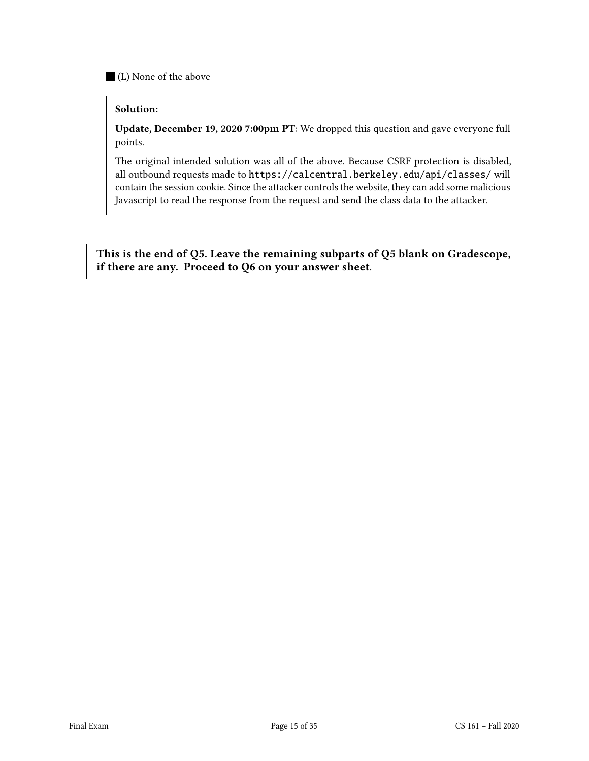(L) None of the above

### Solution:

Update, December 19, 2020 7:00pm PT: We dropped this question and gave everyone full points.

The original intended solution was all of the above. Because CSRF protection is disabled, all outbound requests made to https://calcentral.berkeley.edu/api/classes/ will contain the session cookie. Since the attacker controls the website, they can add some malicious Javascript to read the response from the request and send the class data to the attacker.

This is the end of Q5. Leave the remaining subparts of Q5 blank on Gradescope, if there are any. Proceed to Q6 on your answer sheet.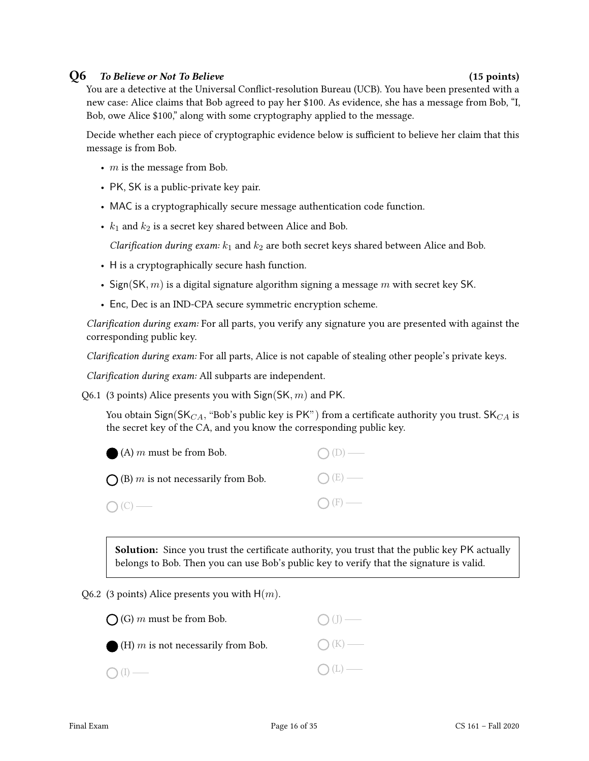## Q6 To Believe or Not To Believe (15 points)

You are a detective at the Universal Conflict-resolution Bureau (UCB). You have been presented with a new case: Alice claims that Bob agreed to pay her \$100. As evidence, she has a message from Bob, "I, Bob, owe Alice \$100," along with some cryptography applied to the message.

Decide whether each piece of cryptographic evidence below is sufficient to believe her claim that this message is from Bob.

- $m$  is the message from Bob.
- PK, SK is a public-private key pair.
- MAC is a cryptographically secure message authentication code function.
- $k_1$  and  $k_2$  is a secret key shared between Alice and Bob.

Clarification during exam:  $k_1$  and  $k_2$  are both secret keys shared between Alice and Bob.

- H is a cryptographically secure hash function.
- Sign(SK,  $m$ ) is a digital signature algorithm signing a message  $m$  with secret key SK.
- Enc, Dec is an IND-CPA secure symmetric encryption scheme.

Clarification during exam: For all parts, you verify any signature you are presented with against the corresponding public key.

Clarification during exam: For all parts, Alice is not capable of stealing other people's private keys.

Clarification during exam: All subparts are independent.

Q6.1 (3 points) Alice presents you with  $Sign(SK, m)$  and PK.

You obtain Sign(SK<sub>CA</sub>, "Bob's public key is PK") from a certificate authority you trust. SK<sub>CA</sub> is the secret key of the CA, and you know the corresponding public key.

| $\bigcirc$ (A) m must be from Bob.           | $O(D)$ —        |
|----------------------------------------------|-----------------|
| $\bigcap$ (B) m is not necessarily from Bob. | $O(E)$ —        |
| $O(C)$ —                                     | $\bigcap$ (F) — |

Solution: Since you trust the certificate authority, you trust that the public key PK actually belongs to Bob. Then you can use Bob's public key to verify that the signature is valid.

Q6.2 (3 points) Alice presents you with  $H(m)$ .

| $\bigcap$ (G) m must be from Bob.             | $\bigcirc$ (J) — |
|-----------------------------------------------|------------------|
| $\bigcirc$ (H) m is not necessarily from Bob. | $O(K)$ —         |
| $\bigcap (I)$ —                               | $O(L)$ —         |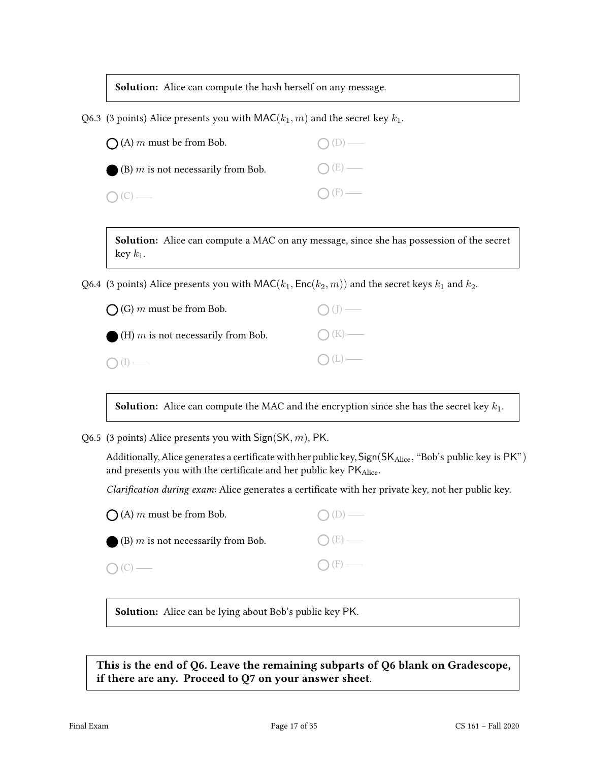Solution: Alice can compute the hash herself on any message.

Q6.3 (3 points) Alice presents you with  $\mathsf{MAC}(k_1, m)$  and the secret key  $k_1$ .

| $\bigcap$ (A) m must be from Bob.             | $O(D)$ —        |
|-----------------------------------------------|-----------------|
| $\bigcirc$ (B) m is not necessarily from Bob. | $O(E)$ —        |
| $\bigcap (C)$ —                               | $\bigcap$ (F) — |

Solution: Alice can compute a MAC on any message, since she has possession of the secret key  $k_1$ .

Q6.4 (3 points) Alice presents you with  $\textsf{MAC}(k_1, \textsf{Enc}(k_2, m))$  and the secret keys  $k_1$  and  $k_2$ .

| $\bigcap$ (G) m must be from Bob.                    | $O(J)$ —        |
|------------------------------------------------------|-----------------|
| $\bigcirc$ (H) <i>m</i> is not necessarily from Bob. | $\bigcap (K)$ — |
| $\bigcap (I)$ —                                      | $O(L)$ —        |

**Solution:** Alice can compute the MAC and the encryption since she has the secret key  $k_1$ .

Q6.5 (3 points) Alice presents you with  $Sign(SK, m)$ , PK.

Additionally, Alice generates a certificate with her public key,  $Sign(SK_{Alice}, "Bob's public key is PK")$ and presents you with the certificate and her public key PKAlice.

Clarification during exam: Alice generates a certificate with her private key, not her public key.

| $\bigcap$ (A) m must be from Bob.             | $O(D)$ —         |
|-----------------------------------------------|------------------|
| $\bigcirc$ (B) m is not necessarily from Bob. | $O(E)$ —         |
| $O(C)$ —                                      | $\bigcirc$ (F) — |

Solution: Alice can be lying about Bob's public key PK.

This is the end of Q6. Leave the remaining subparts of Q6 blank on Gradescope, if there are any. Proceed to Q7 on your answer sheet.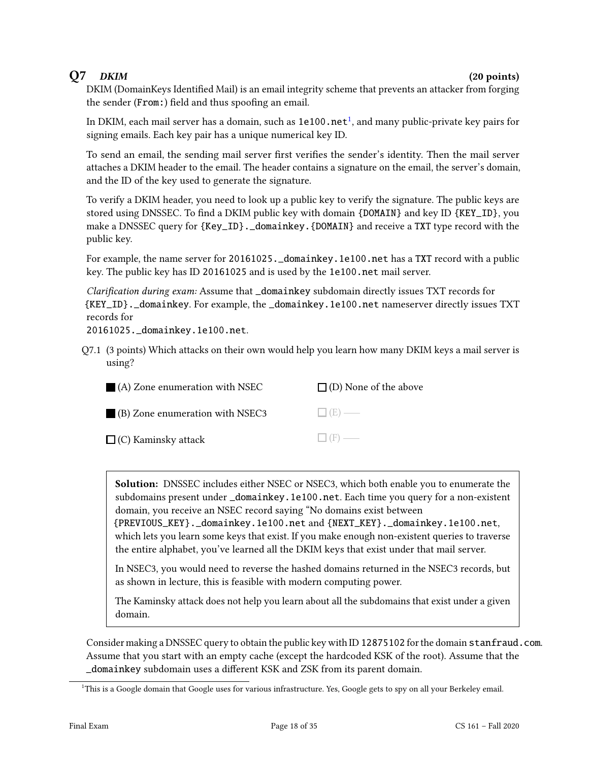## $Q7$  DKIM (20 points)

DKIM (DomainKeys Identified Mail) is an email integrity scheme that prevents an attacker from forging the sender (From:) field and thus spoofing an email.

In DKIM, each mail server has a domain, such as <code>[1](#page-17-0)e100.net $^{\rm 1}$ ,</code> and many public-private key pairs for signing emails. Each key pair has a unique numerical key ID.

To send an email, the sending mail server first verifies the sender's identity. Then the mail server attaches a DKIM header to the email. The header contains a signature on the email, the server's domain, and the ID of the key used to generate the signature.

To verify a DKIM header, you need to look up a public key to verify the signature. The public keys are stored using DNSSEC. To find a DKIM public key with domain  $\{DOMAIN\}$  and key ID  $\{KEY\_ID\}$ , you make a DNSSEC query for {Key\_ID}. \_domainkey. {DOMAIN} and receive a TXT type record with the public key.

For example, the name server for 20161025. \_domainkey.1e100.net has a TXT record with a public key. The public key has ID 20161025 and is used by the 1e100.net mail server.

Clarification during exam: Assume that \_domainkey subdomain directly issues TXT records for {KEY\_ID}.\_domainkey. For example, the \_domainkey.1e100.net nameserver directly issues TXT records for

20161025.\_domainkey.1e100.net.

Q7.1 (3 points) Which attacks on their own would help you learn how many DKIM keys a mail server is using?

| (A) Zone enumeration with NSEC  | $\Box$ (D) None of the above |
|---------------------------------|------------------------------|
| (B) Zone enumeration with NSEC3 | $\Box$ (E) —                 |
| $\Box$ (C) Kaminsky attack      | $\Box$ (F) —                 |

Solution: DNSSEC includes either NSEC or NSEC3, which both enable you to enumerate the subdomains present under \_domainkey.1e100.net. Each time you query for a non-existent domain, you receive an NSEC record saying "No domains exist between

{PREVIOUS\_KEY}.\_domainkey.1e100.net and {NEXT\_KEY}.\_domainkey.1e100.net, which lets you learn some keys that exist. If you make enough non-existent queries to traverse the entire alphabet, you've learned all the DKIM keys that exist under that mail server.

In NSEC3, you would need to reverse the hashed domains returned in the NSEC3 records, but as shown in lecture, this is feasible with modern computing power.

The Kaminsky attack does not help you learn about all the subdomains that exist under a given domain.

Consider making a DNSSEC query to obtain the public key with ID 12875102 for the domain stanfraud.com. Assume that you start with an empty cache (except the hardcoded KSK of the root). Assume that the \_domainkey subdomain uses a dierent KSK and ZSK from its parent domain.

<span id="page-17-0"></span><sup>1</sup>This is a Google domain that Google uses for various infrastructure. Yes, Google gets to spy on all your Berkeley email.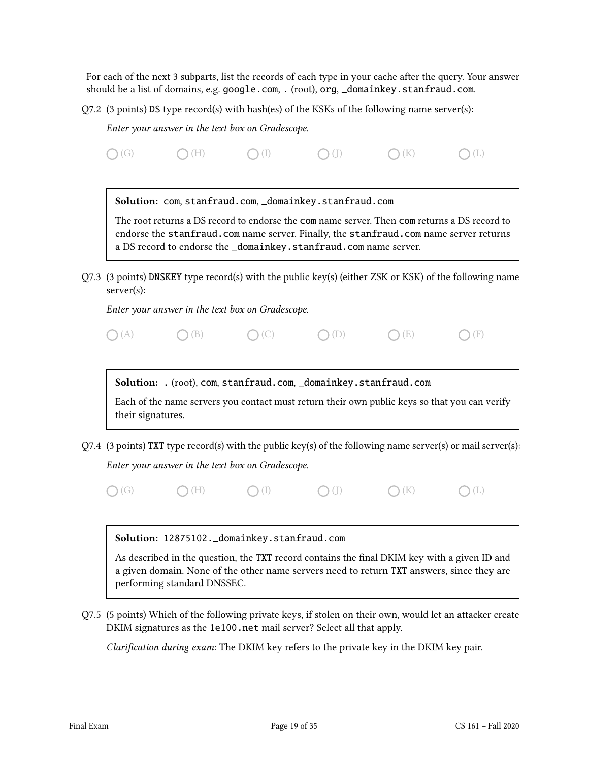For each of the next 3 subparts, list the records of each type in your cache after the query. Your answer should be a list of domains, e.g. google.com, . (root), org, \_domainkey.stanfraud.com.

 $Q7.2$  (3 points) DS type record(s) with hash(es) of the KSKs of the following name server(s):

Enter your answer in the text box on Gradescope.

 $\bigcap(G)$  (G)  $\longrightarrow$   $\bigcap(H)$   $\longrightarrow$   $\bigcap(I)$   $\longrightarrow$   $\bigcap(H)$   $\longrightarrow$   $\bigcap(H)$   $\longrightarrow$   $\bigcap(H)$   $\longrightarrow$   $\bigcap(H)$   $\longrightarrow$   $\bigcap(H)$   $\longrightarrow$   $\bigcap(H)$   $\longrightarrow$   $\bigcap(H)$   $\longrightarrow$   $\bigcap(H)$   $\longrightarrow$   $\bigcap(H)$   $\longrightarrow$   $\bigcap(H)$   $\longrightarrow$   $\bigcap(H)$   $\longrightarrow$   $\bigcap(H)$   $\longrightarrow$   $\bigcap(H)$   $\longrightarrow$   $\bigcap(H)$ 

Solution: com, stanfraud.com, \_domainkey.stanfraud.com

The root returns a DS record to endorse the com name server. Then com returns a DS record to endorse the stanfraud.com name server. Finally, the stanfraud.com name server returns a DS record to endorse the \_domainkey.stanfraud.com name server.

Q7.3 (3 points) DNSKEY type record(s) with the public key(s) (either ZSK or KSK) of the following name server(s):

Enter your answer in the text box on Gradescope.

 $\bigcap (A)$   $\bigcap (B)$   $\bigcap (C)$   $\bigcap (D)$   $\bigcap (E)$   $\bigcap (E)$   $\bigcap (F)$   $\bigcap$ 

Solution: . (root), com, stanfraud.com, \_domainkey.stanfraud.com

Each of the name servers you contact must return their own public keys so that you can verify their signatures.

Q7.4 (3 points) TXT type record(s) with the public key(s) of the following name server(s) or mail server(s):

Enter your answer in the text box on Gradescope.

 $\bigcap(G)$  (H)  $\bigcap(H)$  (I)  $\bigcap(H)$  (J)  $\bigcap(H)$  (I)  $\bigcap(H)$  (L)  $\bigcap(H)$ 

Solution: 12875102.\_domainkey.stanfraud.com

As described in the question, the TXT record contains the final DKIM key with a given ID and a given domain. None of the other name servers need to return TXT answers, since they are performing standard DNSSEC.

Q7.5 (5 points) Which of the following private keys, if stolen on their own, would let an attacker create DKIM signatures as the 1e100.net mail server? Select all that apply.

Clarification during exam: The DKIM key refers to the private key in the DKIM key pair.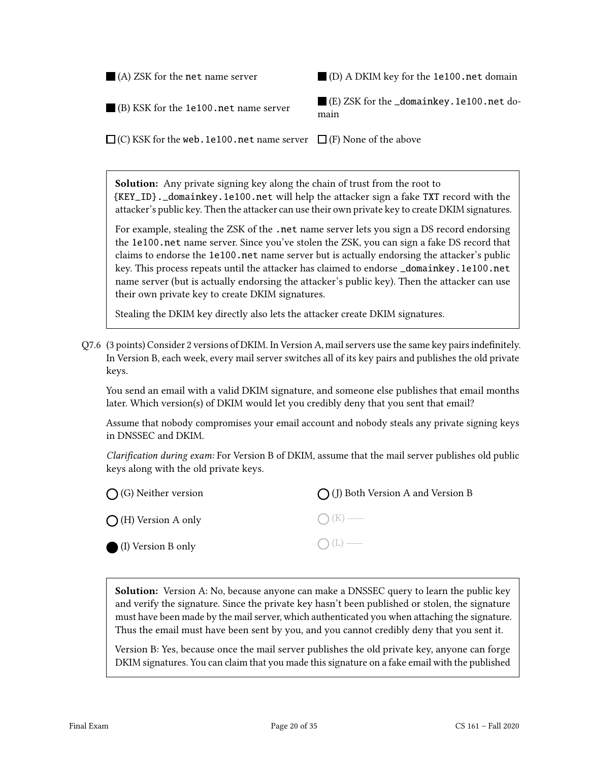(A) ZSK for the net name server

(D) A DKIM key for the 1e100.net domain

(B) KSK for the 1e100.net name server

(E) ZSK for the \_domainkey.1e100.net domain

(C) KSK for the web.1e100.net name server  $\Box$  (F) None of the above

Solution: Any private signing key along the chain of trust from the root to {KEY\_ID}.\_domainkey.1e100.net will help the attacker sign a fake TXT record with the attacker's public key. Then the attacker can use their own private key to create DKIM signatures.

For example, stealing the ZSK of the .net name server lets you sign a DS record endorsing the 1e100.net name server. Since you've stolen the ZSK, you can sign a fake DS record that claims to endorse the 1e100.net name server but is actually endorsing the attacker's public key. This process repeats until the attacker has claimed to endorse \_domainkey.1e100.net name server (but is actually endorsing the attacker's public key). Then the attacker can use their own private key to create DKIM signatures.

Stealing the DKIM key directly also lets the attacker create DKIM signatures.

Q7.6 (3 points) Consider 2 versions of DKIM. In Version A, mail servers use the same key pairs indefinitely. In Version B, each week, every mail server switches all of its key pairs and publishes the old private keys.

You send an email with a valid DKIM signature, and someone else publishes that email months later. Which version(s) of DKIM would let you credibly deny that you sent that email?

Assume that nobody compromises your email account and nobody steals any private signing keys in DNSSEC and DKIM.

Clarification during exam: For Version B of DKIM, assume that the mail server publishes old public keys along with the old private keys.

| $\bigcap$ (G) Neither version | $\bigcap$ (J) Both Version A and Version B |  |  |
|-------------------------------|--------------------------------------------|--|--|
| $\bigcap$ (H) Version A only  | $\bigcap (K)$ —                            |  |  |
| (I) Version B only            | $\bigcap(L)$ —                             |  |  |

**Solution:** Version A: No, because anyone can make a DNSSEC query to learn the public key and verify the signature. Since the private key hasn't been published or stolen, the signature must have been made by the mail server, which authenticated you when attaching the signature. Thus the email must have been sent by you, and you cannot credibly deny that you sent it.

Version B: Yes, because once the mail server publishes the old private key, anyone can forge DKIM signatures. You can claim that you made this signature on a fake email with the published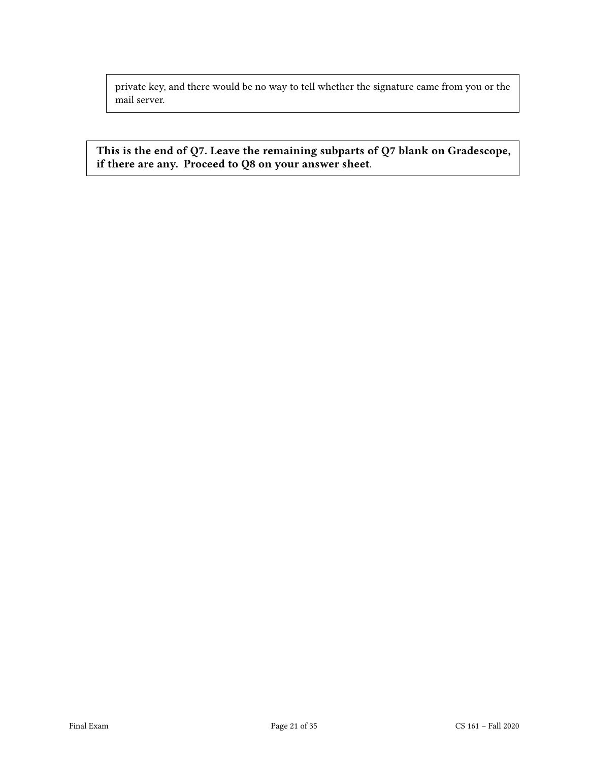private key, and there would be no way to tell whether the signature came from you or the mail server.

This is the end of Q7. Leave the remaining subparts of Q7 blank on Gradescope, if there are any. Proceed to Q8 on your answer sheet.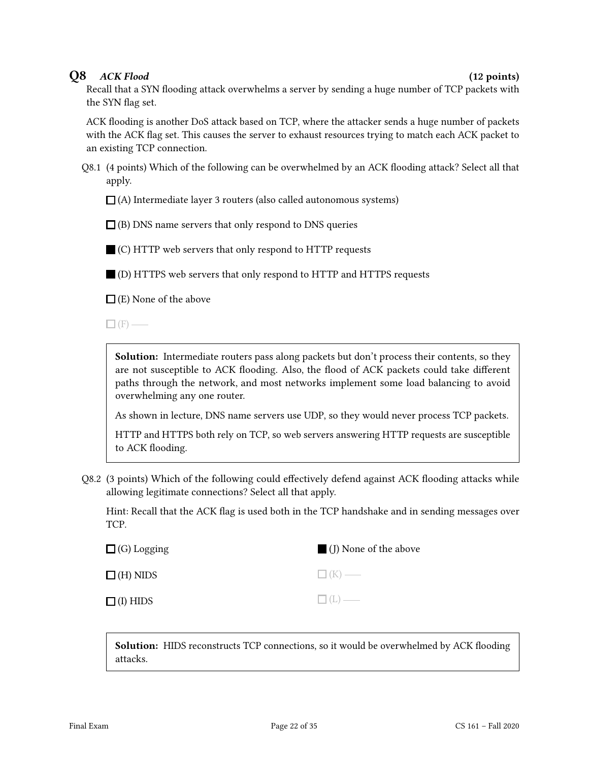## Q8 ACK Flood (12 points)

Recall that a SYN flooding attack overwhelms a server by sending a huge number of TCP packets with the SYN flag set.

ACK flooding is another DoS attack based on TCP, where the attacker sends a huge number of packets with the ACK flag set. This causes the server to exhaust resources trying to match each ACK packet to an existing TCP connection.

Q8.1 (4 points) Which of the following can be overwhelmed by an ACK flooding attack? Select all that apply.

 $\Box$  (A) Intermediate layer 3 routers (also called autonomous systems)

 $\Box$  (B) DNS name servers that only respond to DNS queries

(C) HTTP web servers that only respond to HTTP requests

(D) HTTPS web servers that only respond to HTTP and HTTPS requests

 $\Box$  (E) None of the above

 $\Box$ (F) —

**Solution:** Intermediate routers pass along packets but don't process their contents, so they are not susceptible to ACK flooding. Also, the flood of ACK packets could take different paths through the network, and most networks implement some load balancing to avoid overwhelming any one router.

As shown in lecture, DNS name servers use UDP, so they would never process TCP packets.

HTTP and HTTPS both rely on TCP, so web servers answering HTTP requests are susceptible to ACK flooding.

Q8.2 (3 points) Which of the following could effectively defend against ACK flooding attacks while allowing legitimate connections? Select all that apply.

Hint: Recall that the ACK flag is used both in the TCP handshake and in sending messages over TCP.

| $\Box$ (G) Logging | $\Box$ (J) None of the above |
|--------------------|------------------------------|
| $\Box$ (H) NIDS    | $\Box$ (K) —                 |
| $\Box$ (I) HIDS    | $\Box$ (L) —                 |

Solution: HIDS reconstructs TCP connections, so it would be overwhelmed by ACK flooding attacks.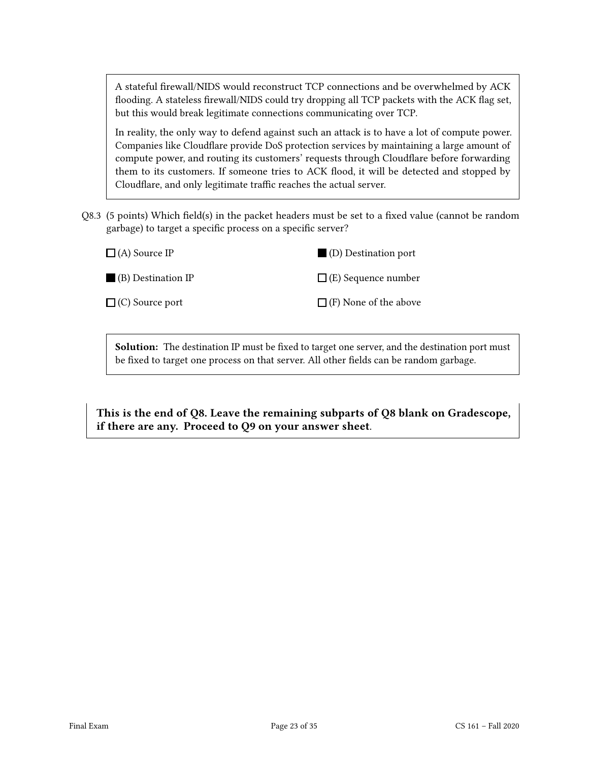A stateful firewall/NIDS would reconstruct TCP connections and be overwhelmed by ACK flooding. A stateless firewall/NIDS could try dropping all TCP packets with the ACK flag set, but this would break legitimate connections communicating over TCP.

In reality, the only way to defend against such an attack is to have a lot of compute power. Companies like Cloudflare provide DoS protection services by maintaining a large amount of compute power, and routing its customers' requests through Cloudflare before forwarding them to its customers. If someone tries to ACK flood, it will be detected and stopped by Cloudflare, and only legitimate traffic reaches the actual server.

Q8.3 (5 points) Which field(s) in the packet headers must be set to a fixed value (cannot be random garbage) to target a specific process on a specific server?



Solution: The destination IP must be fixed to target one server, and the destination port must be fixed to target one process on that server. All other fields can be random garbage.

This is the end of Q8. Leave the remaining subparts of Q8 blank on Gradescope, if there are any. Proceed to Q9 on your answer sheet.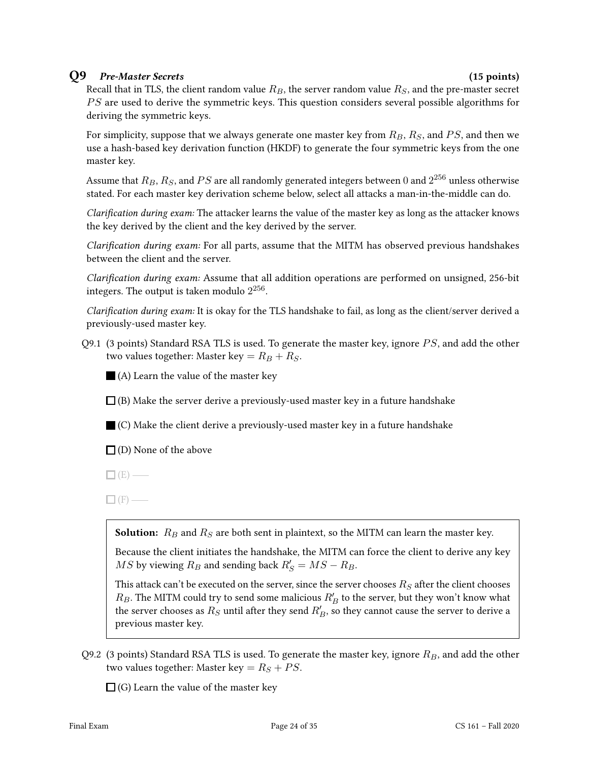## Q9 Pre-Master Secrets (15 points)

Recall that in TLS, the client random value  $R_B$ , the server random value  $R_S$ , and the pre-master secret PS are used to derive the symmetric keys. This question considers several possible algorithms for deriving the symmetric keys.

For simplicity, suppose that we always generate one master key from  $R_B$ ,  $R_S$ , and  $PS$ , and then we use a hash-based key derivation function (HKDF) to generate the four symmetric keys from the one master key.

Assume that  $R_B, R_S,$  and  $PS$  are all randomly generated integers between  $0$  and  $2^{256}$  unless otherwise stated. For each master key derivation scheme below, select all attacks a man-in-the-middle can do.

Clarification during exam: The attacker learns the value of the master key as long as the attacker knows the key derived by the client and the key derived by the server.

Clarification during exam: For all parts, assume that the MITM has observed previous handshakes between the client and the server.

Clarification during exam: Assume that all addition operations are performed on unsigned, 256-bit integers. The output is taken modulo  $2^{256}.$ 

Clarification during exam: It is okay for the TLS handshake to fail, as long as the client/server derived a previously-used master key.

Q9.1 (3 points) Standard RSA TLS is used. To generate the master key, ignore  $PS$ , and add the other two values together: Master key =  $R_B + R_S$ .

(A) Learn the value of the master key

 $\Box$  (B) Make the server derive a previously-used master key in a future handshake

 $\blacksquare$  (C) Make the client derive a previously-used master key in a future handshake

 $\square$  (D) None of the above

 $\Box$  (E) —

 $\Box$  (F) —

**Solution:**  $R_B$  and  $R_S$  are both sent in plaintext, so the MITM can learn the master key.

Because the client initiates the handshake, the MITM can force the client to derive any key  $\overline{MS}$  by viewing  $R_B$  and sending back  $R'_S = \overline{MS} - R_B$ .

This attack can't be executed on the server, since the server chooses  $R_S$  after the client chooses  $R_B.$  The MITM could try to send some malicious  $R_B^\prime$  to the server, but they won't know what the server chooses as  $R_S$  until after they send  $R_B^\prime$ , so they cannot cause the server to derive a previous master key.

Q9.2 (3 points) Standard RSA TLS is used. To generate the master key, ignore  $R_B$ , and add the other two values together: Master key =  $R<sub>S</sub> + PS$ .

 $\Box$  (G) Learn the value of the master key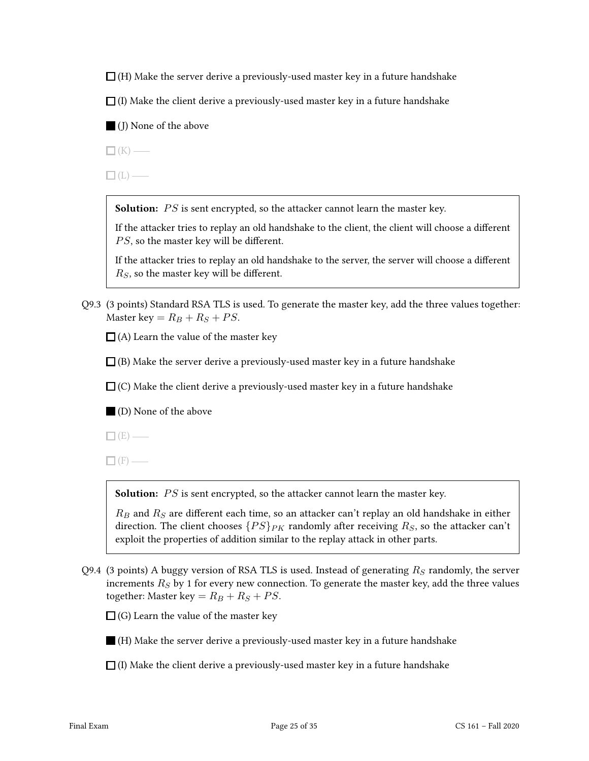$\Box$  (H) Make the server derive a previously-used master key in a future handshake

 $\Box$  (I) Make the client derive a previously-used master key in a future handshake

(J) None of the above

 $\Box$  (K) —

 $\Box$ (L) —

**Solution:**  $PS$  is sent encrypted, so the attacker cannot learn the master key.

If the attacker tries to replay an old handshake to the client, the client will choose a different  $PS$ , so the master key will be different.

If the attacker tries to replay an old handshake to the server, the server will choose a different  $R<sub>S</sub>$ , so the master key will be different.

Q9.3 (3 points) Standard RSA TLS is used. To generate the master key, add the three values together: Master key =  $R_B + R_S + PS$ .

 $\Box$  (A) Learn the value of the master key

 $\Box$ (B) Make the server derive a previously-used master key in a future handshake

 $\Box$  (C) Make the client derive a previously-used master key in a future handshake

(D) None of the above

 $\Box$  (E) —

 $\Box$  (F) —

**Solution:**  $PS$  is sent encrypted, so the attacker cannot learn the master key.

 $R_B$  and  $R_S$  are different each time, so an attacker can't replay an old handshake in either direction. The client chooses  $\{PS\}_{PK}$  randomly after receiving  $R_S$ , so the attacker can't exploit the properties of addition similar to the replay attack in other parts.

Q9.4 (3 points) A buggy version of RSA TLS is used. Instead of generating  $R<sub>S</sub>$  randomly, the server increments  $R<sub>S</sub>$  by 1 for every new connection. To generate the master key, add the three values together: Master key =  $R_B + R_S + PS$ .

 $\Box$  (G) Learn the value of the master key

 $\blacksquare$  (H) Make the server derive a previously-used master key in a future handshake

 $\Box$  (I) Make the client derive a previously-used master key in a future handshake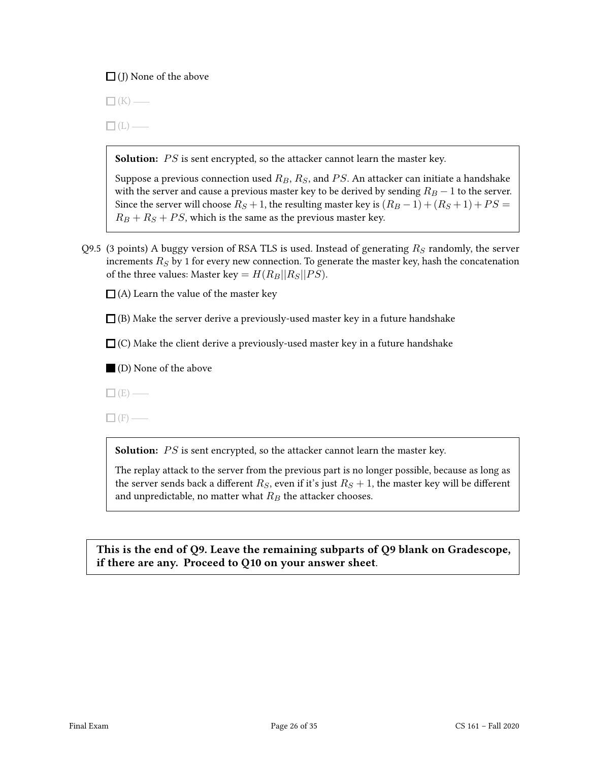$\Box$  (J) None of the above

 $\Box$  (K) —

 $\Box$ (L) —

**Solution:**  $PS$  is sent encrypted, so the attacker cannot learn the master key.

Suppose a previous connection used  $R_B$ ,  $R_S$ , and  $PS$ . An attacker can initiate a handshake with the server and cause a previous master key to be derived by sending  $R_B - 1$  to the server. Since the server will choose  $R_S + 1$ , the resulting master key is  $(R_B - 1) + (R_S + 1) + PS =$  $R_B + R_S + PS$ , which is the same as the previous master key.

Q9.5 (3 points) A buggy version of RSA TLS is used. Instead of generating  $R<sub>S</sub>$  randomly, the server increments  $R_S$  by 1 for every new connection. To generate the master key, hash the concatenation of the three values: Master key =  $H(R_B||R_S||PS)$ .

 $\Box$  (A) Learn the value of the master key

 $\Box$ (B) Make the server derive a previously-used master key in a future handshake

 $\Box$  (C) Make the client derive a previously-used master key in a future handshake

(D) None of the above

 $\Box$  (E) —

 $\Box$  (F) —

**Solution:**  $PS$  is sent encrypted, so the attacker cannot learn the master key.

The replay attack to the server from the previous part is no longer possible, because as long as the server sends back a different  $R_S$ , even if it's just  $R_S + 1$ , the master key will be different and unpredictable, no matter what  $R_B$  the attacker chooses.

This is the end of Q9. Leave the remaining subparts of Q9 blank on Gradescope, if there are any. Proceed to Q10 on your answer sheet.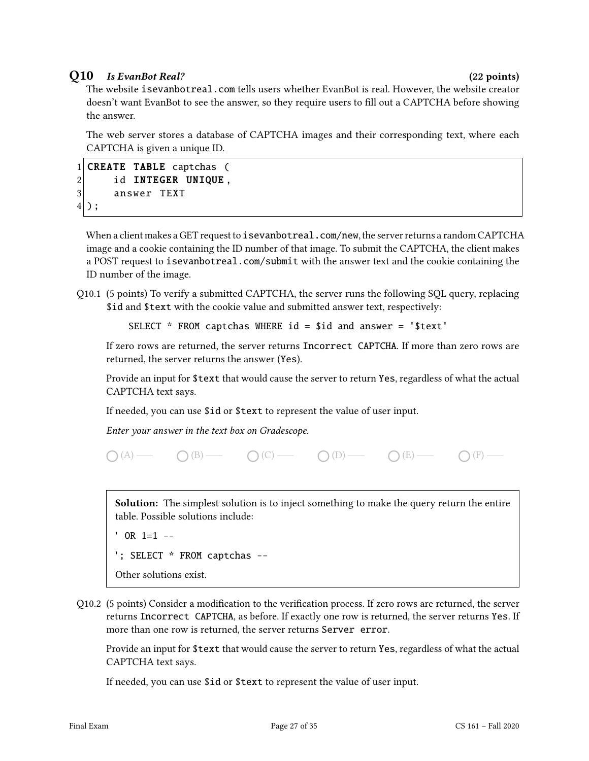## Q10 Is EvanBot Real? (22 points)

The website isevanbotreal.com tells users whether EvanBot is real. However, the website creator doesn't want EvanBot to see the answer, so they require users to fill out a CAPTCHA before showing the answer.

The web server stores a database of CAPTCHA images and their corresponding text, where each CAPTCHA is given a unique ID.

```
1 CREATE TABLE captchas (
2 id INTEGER UNIQUE,
3 answer TEXT
4);
```
When a client makes a GET request to isevanbotreal.com/new, the server returns a random CAPTCHA image and a cookie containing the ID number of that image. To submit the CAPTCHA, the client makes a POST request to isevanbotreal.com/submit with the answer text and the cookie containing the ID number of the image.

Q10.1 (5 points) To verify a submitted CAPTCHA, the server runs the following SQL query, replacing \$id and \$text with the cookie value and submitted answer text, respectively:

SELECT  $*$  FROM captchas WHERE id = \$id and answer = '\$text'

If zero rows are returned, the server returns Incorrect CAPTCHA. If more than zero rows are returned, the server returns the answer (Yes).

Provide an input for \$text that would cause the server to return Yes, regardless of what the actual CAPTCHA text says.

If needed, you can use \$id or \$text to represent the value of user input.

Enter your answer in the text box on Gradescope.

```
\bigcap (A) \bigcap (B) \bigcap (C) \bigcap (D) \bigcap (E) \bigcap (F) \bigcap (F)
```
Solution: The simplest solution is to inject something to make the query return the entire table. Possible solutions include:

```
' OR 1=1 --
'; SELECT * FROM captchas --
Other solutions exist.
```
Q10.2 (5 points) Consider a modification to the verification process. If zero rows are returned, the server returns Incorrect CAPTCHA, as before. If exactly one row is returned, the server returns Yes. If more than one row is returned, the server returns Server error.

Provide an input for \$text that would cause the server to return Yes, regardless of what the actual CAPTCHA text says.

If needed, you can use \$id or \$text to represent the value of user input.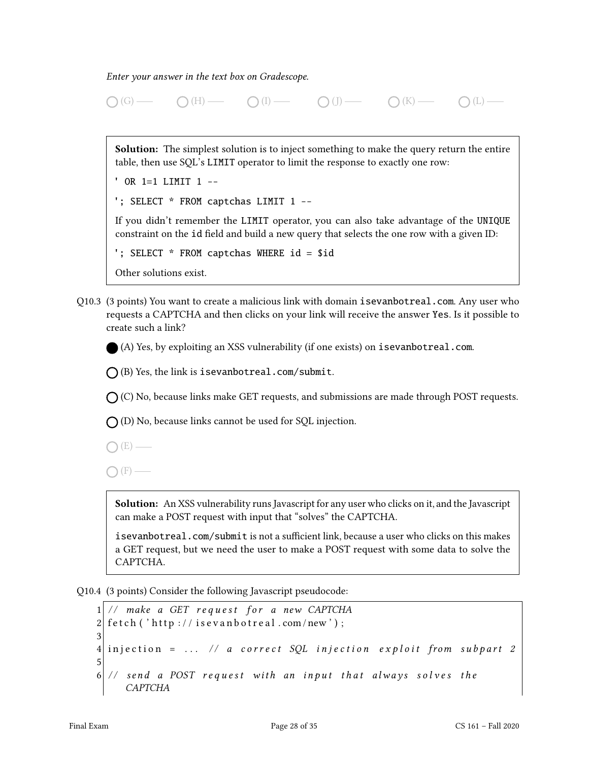Enter your answer in the text box on Gradescope.



Solution: The simplest solution is to inject something to make the query return the entire table, then use SQL's LIMIT operator to limit the response to exactly one row:

' OR 1=1 LIMIT 1 --

'; SELECT \* FROM captchas LIMIT 1 --

If you didn't remember the LIMIT operator, you can also take advantage of the UNIQUE constraint on the id field and build a new query that selects the one row with a given ID:

'; SELECT \* FROM captchas WHERE id = \$id

Other solutions exist.

Q10.3 (3 points) You want to create a malicious link with domain isevanbotreal.com. Any user who requests a CAPTCHA and then clicks on your link will receive the answer Yes. Is it possible to create such a link?

(A) Yes, by exploiting an XSS vulnerability (if one exists) on isevanbotreal.com.

 $\bigcap$  (B) Yes, the link is isevanbotreal.com/submit.

 $\bigcap$  (C) No, because links make GET requests, and submissions are made through POST requests.

 $\bigcap$  (D) No, because links cannot be used for SQL injection.

 $\bigcap(E)$  —

 $\bigcap$  (F) —

Solution: An XSS vulnerability runs Javascript for any user who clicks on it, and the Javascript can make a POST request with input that "solves" the CAPTCHA.

isevanbotreal.com/submit is not a sufficient link, because a user who clicks on this makes a GET request, but we need the user to make a POST request with some data to solve the CAPTCHA.

Q10.4 (3 points) Consider the following Javascript pseudocode:

```
1 // make a GET request for a new CAPTCHA
2 \mid \text{ fetch}() \text{ http://isevanbotreal.com/news'};
3
4 injection = ... // a correct SQL injection exploit from subpart 2
5
\overline{6} // send a POST request with an input that always solves the
     CAPTCHA
```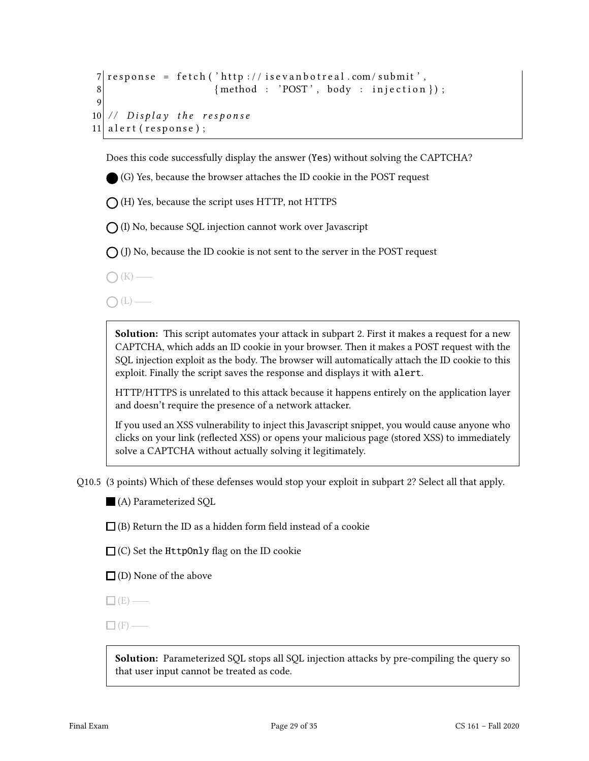```
7 response = fetch ('http://isevanbotreal.com/submit',
8 { method : 'POST', body : injection } );
9
10 \mid \text{/} / \text{ Display the response}11 a lert (response);
```
Does this code successfully display the answer (Yes) without solving the CAPTCHA?

(G) Yes, because the browser attaches the ID cookie in the POST request

 $\bigcap$  (H) Yes, because the script uses HTTP, not HTTPS

 $\bigcap$  (I) No, because SQL injection cannot work over Javascript

 $\bigcap$  (J) No, because the ID cookie is not sent to the server in the POST request

 $\bigcap$  (K) —

 $\bigcap(L)$  —

Solution: This script automates your attack in subpart 2. First it makes a request for a new CAPTCHA, which adds an ID cookie in your browser. Then it makes a POST request with the SQL injection exploit as the body. The browser will automatically attach the ID cookie to this exploit. Finally the script saves the response and displays it with alert.

HTTP/HTTPS is unrelated to this attack because it happens entirely on the application layer and doesn't require the presence of a network attacker.

If you used an XSS vulnerability to inject this Javascript snippet, you would cause anyone who clicks on your link (reflected XSS) or opens your malicious page (stored XSS) to immediately solve a CAPTCHA without actually solving it legitimately.

Q10.5 (3 points) Which of these defenses would stop your exploit in subpart 2? Select all that apply.

(A) Parameterized SQL

 $\Box$  (B) Return the ID as a hidden form field instead of a cookie

 $\Box$  (C) Set the HttpOnly flag on the ID cookie

 $\Box$  (D) None of the above

 $\Box$  (E) —

 $\Box$  (F) —

**Solution:** Parameterized SQL stops all SQL injection attacks by pre-compiling the query so that user input cannot be treated as code.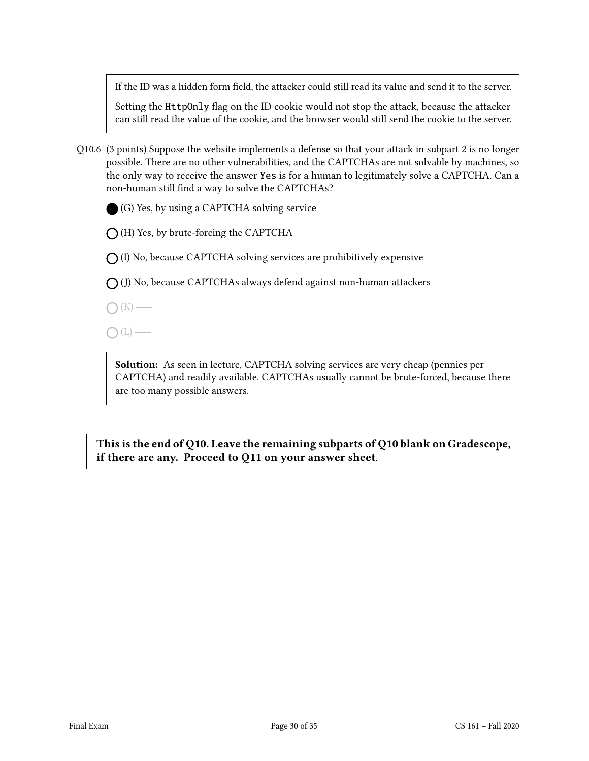If the ID was a hidden form field, the attacker could still read its value and send it to the server.

Setting the HttpOnly flag on the ID cookie would not stop the attack, because the attacker can still read the value of the cookie, and the browser would still send the cookie to the server.

Q10.6 (3 points) Suppose the website implements a defense so that your attack in subpart 2 is no longer possible. There are no other vulnerabilities, and the CAPTCHAs are not solvable by machines, so the only way to receive the answer Yes is for a human to legitimately solve a CAPTCHA. Can a non-human still find a way to solve the CAPTCHAs?

(G) Yes, by using a CAPTCHA solving service

(H) Yes, by brute-forcing the CAPTCHA

 $\bigcap$  (I) No, because CAPTCHA solving services are prohibitively expensive

 $\bigcap$  (J) No, because CAPTCHAs always defend against non-human attackers

 $\bigcap$  (K) —

 $\bigcap(L)$  —

Solution: As seen in lecture, CAPTCHA solving services are very cheap (pennies per CAPTCHA) and readily available. CAPTCHAs usually cannot be brute-forced, because there are too many possible answers.

This is the end of Q10. Leave the remaining subparts of Q10 blank on Gradescope, if there are any. Proceed to Q11 on your answer sheet.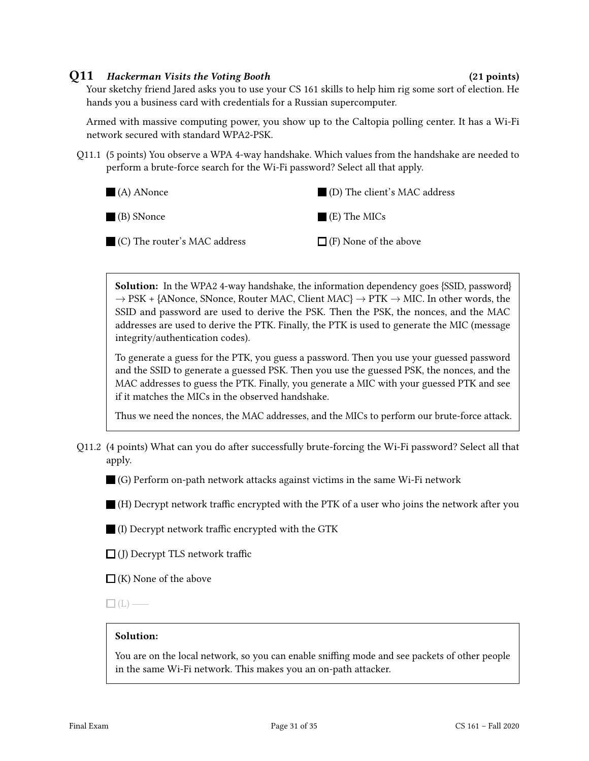## Q11 Hackerman Visits the Voting Booth (21 points)

Your sketchy friend Jared asks you to use your CS 161 skills to help him rig some sort of election. He hands you a business card with credentials for a Russian supercomputer.

Armed with massive computing power, you show up to the Caltopia polling center. It has a Wi-Fi network secured with standard WPA2-PSK.

Q11.1 (5 points) You observe a WPA 4-way handshake. Which values from the handshake are needed to perform a brute-force search for the Wi-Fi password? Select all that apply.

| $(A)$ ANonce                                | $\Box$ (D) The client's MAC address |  |  |
|---------------------------------------------|-------------------------------------|--|--|
| (B) SNonce                                  | $\blacksquare$ (E) The MICs         |  |  |
| $\blacksquare$ (C) The router's MAC address | $\Box$ (F) None of the above        |  |  |

Solution: In the WPA2 4-way handshake, the information dependency goes {SSID, password}  $\rightarrow$  PSK + {ANonce, SNonce, Router MAC, Client MAC}  $\rightarrow$  PTK  $\rightarrow$  MIC. In other words, the SSID and password are used to derive the PSK. Then the PSK, the nonces, and the MAC addresses are used to derive the PTK. Finally, the PTK is used to generate the MIC (message integrity/authentication codes).

To generate a guess for the PTK, you guess a password. Then you use your guessed password and the SSID to generate a guessed PSK. Then you use the guessed PSK, the nonces, and the MAC addresses to guess the PTK. Finally, you generate a MIC with your guessed PTK and see if it matches the MICs in the observed handshake.

Thus we need the nonces, the MAC addresses, and the MICs to perform our brute-force attack.

Q11.2 (4 points) What can you do after successfully brute-forcing the Wi-Fi password? Select all that apply.

(G) Perform on-path network attacks against victims in the same Wi-Fi network

 $\blacksquare$  (H) Decrypt network traffic encrypted with the PTK of a user who joins the network after you

 $\blacksquare$  (I) Decrypt network traffic encrypted with the GTK

 $\Box$  (J) Decrypt TLS network traffic

 $\Box$  (K) None of the above

 $\square$  (L) —

### Solution:

You are on the local network, so you can enable sniffing mode and see packets of other people in the same Wi-Fi network. This makes you an on-path attacker.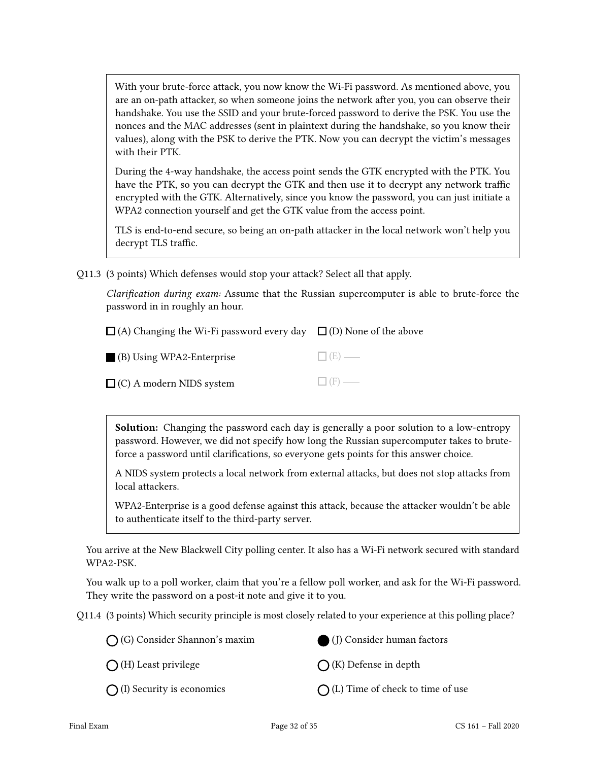With your brute-force attack, you now know the Wi-Fi password. As mentioned above, you are an on-path attacker, so when someone joins the network after you, you can observe their handshake. You use the SSID and your brute-forced password to derive the PSK. You use the nonces and the MAC addresses (sent in plaintext during the handshake, so you know their values), along with the PSK to derive the PTK. Now you can decrypt the victim's messages with their PTK.

During the 4-way handshake, the access point sends the GTK encrypted with the PTK. You have the PTK, so you can decrypt the GTK and then use it to decrypt any network traffic encrypted with the GTK. Alternatively, since you know the password, you can just initiate a WPA2 connection yourself and get the GTK value from the access point.

TLS is end-to-end secure, so being an on-path attacker in the local network won't help you decrypt TLS traffic.

Q11.3 (3 points) Which defenses would stop your attack? Select all that apply.

Clarification during exam: Assume that the Russian supercomputer is able to brute-force the password in in roughly an hour.

| $\Box$ (A) Changing the Wi-Fi password every day $\Box$ (D) None of the above |              |  |  |
|-------------------------------------------------------------------------------|--------------|--|--|
| $\blacksquare$ (B) Using WPA2-Enterprise                                      | $\Box$ (E) — |  |  |
| $\Box$ (C) A modern NIDS system                                               | $\Box$ (F) — |  |  |

Solution: Changing the password each day is generally a poor solution to a low-entropy password. However, we did not specify how long the Russian supercomputer takes to bruteforce a password until clarifications, so everyone gets points for this answer choice.

A NIDS system protects a local network from external attacks, but does not stop attacks from local attackers.

WPA2-Enterprise is a good defense against this attack, because the attacker wouldn't be able to authenticate itself to the third-party server.

You arrive at the New Blackwell City polling center. It also has a Wi-Fi network secured with standard WPA2-PSK.

You walk up to a poll worker, claim that you're a fellow poll worker, and ask for the Wi-Fi password. They write the password on a post-it note and give it to you.

Q11.4 (3 points) Which security principle is most closely related to your experience at this polling place?

(G) Consider Shannon's maxim



 $\bigcap$  (K) Defense in depth

 $\bigcap$  (H) Least privilege

 $\bigcap$  (I) Security is economics

 $\bigcap$  (L) Time of check to time of use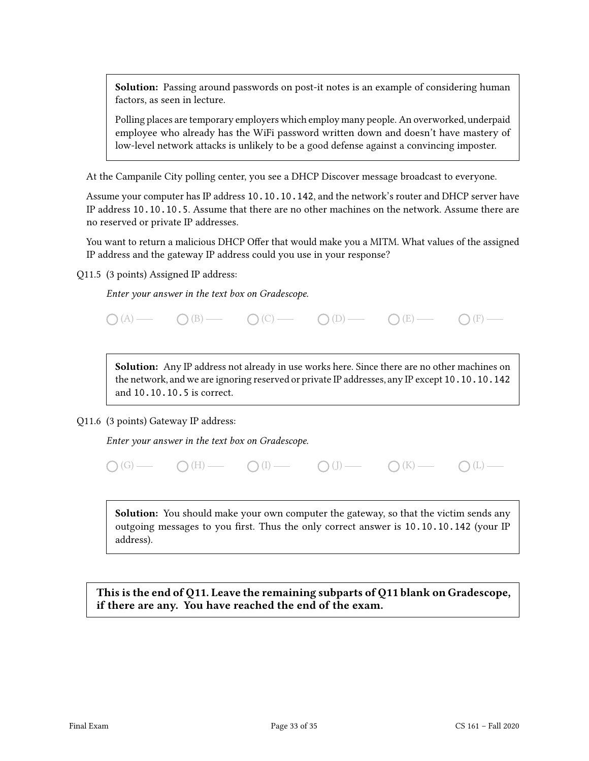Solution: Passing around passwords on post-it notes is an example of considering human factors, as seen in lecture.

Polling places are temporary employers which employ many people. An overworked, underpaid employee who already has the WiFi password written down and doesn't have mastery of low-level network attacks is unlikely to be a good defense against a convincing imposter.

At the Campanile City polling center, you see a DHCP Discover message broadcast to everyone.

Assume your computer has IP address 10.10.10.142, and the network's router and DHCP server have IP address 10.10.10.5. Assume that there are no other machines on the network. Assume there are no reserved or private IP addresses.

You want to return a malicious DHCP Offer that would make you a MITM. What values of the assigned IP address and the gateway IP address could you use in your response?

Q11.5 (3 points) Assigned IP address:

Enter your answer in the text box on Gradescope.

Solution: Any IP address not already in use works here. Since there are no other machines on the network, and we are ignoring reserved or private IP addresses, any IP except 10.10.10.142 and 10.10.10.5 is correct.

Q11.6 (3 points) Gateway IP address:

Enter your answer in the text box on Gradescope.

|                 | $\bigcap$ (H) — |                 |            |                 |                  |
|-----------------|-----------------|-----------------|------------|-----------------|------------------|
|                 |                 |                 |            |                 |                  |
| $\bigcap$ (G) — |                 | $\bigcap$ (I) — | $\bigcirc$ | $\bigcap (K)$ — | $\bigcirc$ (L) — |

**Solution:** You should make your own computer the gateway, so that the victim sends any outgoing messages to you first. Thus the only correct answer is  $10.10.10.142$  (your IP address).

This is the end of Q11. Leave the remaining subparts of Q11 blank on Gradescope, if there are any. You have reached the end of the exam.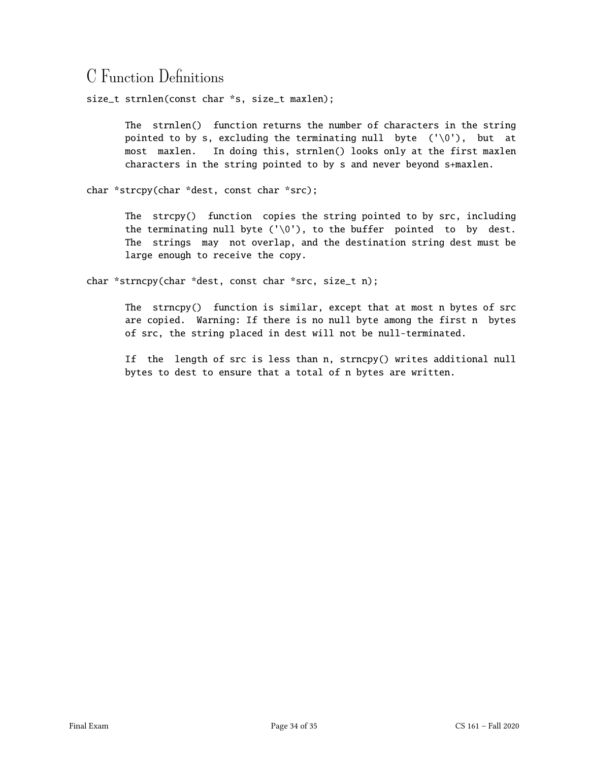# C Function Definitions

size\_t strnlen(const char \*s, size\_t maxlen);

The strnlen() function returns the number of characters in the string pointed to by s, excluding the terminating null byte  $(\sqrt{0})$ , but at most maxlen. In doing this, strnlen() looks only at the first maxlen characters in the string pointed to by s and never beyond s+maxlen.

char \*strcpy(char \*dest, const char \*src);

The strcpy() function copies the string pointed to by src, including the terminating null byte (' $\setminus 0'$ ), to the buffer pointed to by dest. The strings may not overlap, and the destination string dest must be large enough to receive the copy.

char \*strncpy(char \*dest, const char \*src, size\_t n);

The strncpy() function is similar, except that at most n bytes of src are copied. Warning: If there is no null byte among the first n bytes of src, the string placed in dest will not be null-terminated.

If the length of src is less than n, strncpy() writes additional null bytes to dest to ensure that a total of n bytes are written.